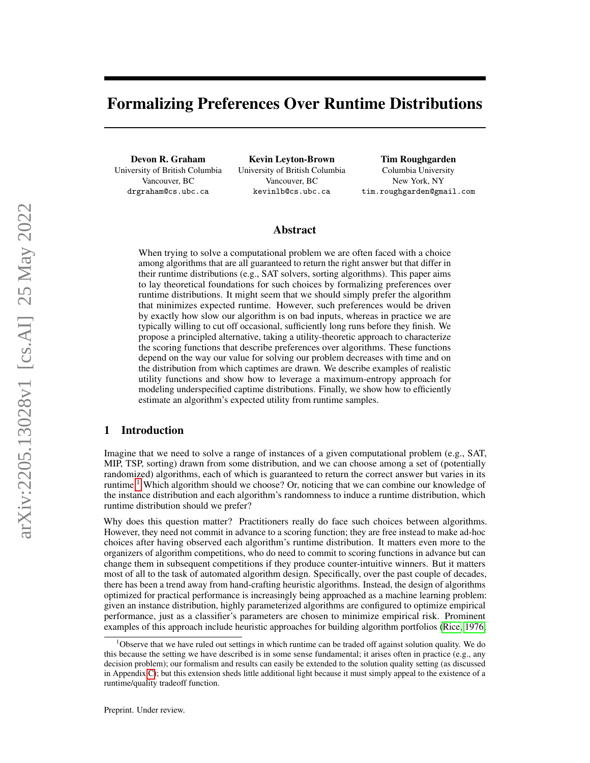# Formalizing Preferences Over Runtime Distributions

Devon R. Graham University of British Columbia Vancouver, BC drgraham@cs.ubc.ca

Kevin Leyton-Brown University of British Columbia Vancouver, BC kevinlb@cs.ubc.ca

Tim Roughgarden Columbia University New York, NY tim.roughgarden@gmail.com

## Abstract

When trying to solve a computational problem we are often faced with a choice among algorithms that are all guaranteed to return the right answer but that differ in their runtime distributions (e.g., SAT solvers, sorting algorithms). This paper aims to lay theoretical foundations for such choices by formalizing preferences over runtime distributions. It might seem that we should simply prefer the algorithm that minimizes expected runtime. However, such preferences would be driven by exactly how slow our algorithm is on bad inputs, whereas in practice we are typically willing to cut off occasional, sufficiently long runs before they finish. We propose a principled alternative, taking a utility-theoretic approach to characterize the scoring functions that describe preferences over algorithms. These functions depend on the way our value for solving our problem decreases with time and on the distribution from which captimes are drawn. We describe examples of realistic utility functions and show how to leverage a maximum-entropy approach for modeling underspecified captime distributions. Finally, we show how to efficiently estimate an algorithm's expected utility from runtime samples.

## 1 Introduction

Imagine that we need to solve a range of instances of a given computational problem (e.g., SAT, MIP, TSP, sorting) drawn from some distribution, and we can choose among a set of (potentially randomized) algorithms, each of which is guaranteed to return the correct answer but varies in its runtime.<sup>[1](#page-0-0)</sup> Which algorithm should we choose? Or, noticing that we can combine our knowledge of the instance distribution and each algorithm's randomness to induce a runtime distribution, which runtime distribution should we prefer?

Why does this question matter? Practitioners really do face such choices between algorithms. However, they need not commit in advance to a scoring function; they are free instead to make ad-hoc choices after having observed each algorithm's runtime distribution. It matters even more to the organizers of algorithm competitions, who do need to commit to scoring functions in advance but can change them in subsequent competitions if they produce counter-intuitive winners. But it matters most of all to the task of automated algorithm design. Specifically, over the past couple of decades, there has been a trend away from hand-crafting heuristic algorithms. Instead, the design of algorithms optimized for practical performance is increasingly being approached as a machine learning problem: given an instance distribution, highly parameterized algorithms are configured to optimize empirical performance, just as a classifier's parameters are chosen to minimize empirical risk. Prominent examples of this approach include heuristic approaches for building algorithm portfolios [\(Rice, 1976;](#page-13-0)

<span id="page-0-0"></span><sup>&</sup>lt;sup>1</sup>Observe that we have ruled out settings in which runtime can be traded off against solution quality. We do this because the setting we have described is in some sense fundamental; it arises often in practice (e.g., any decision problem); our formalism and results can easily be extended to the solution quality setting (as discussed in Appendix [C\)](#page-21-0); but this extension sheds little additional light because it must simply appeal to the existence of a runtime/quality tradeoff function.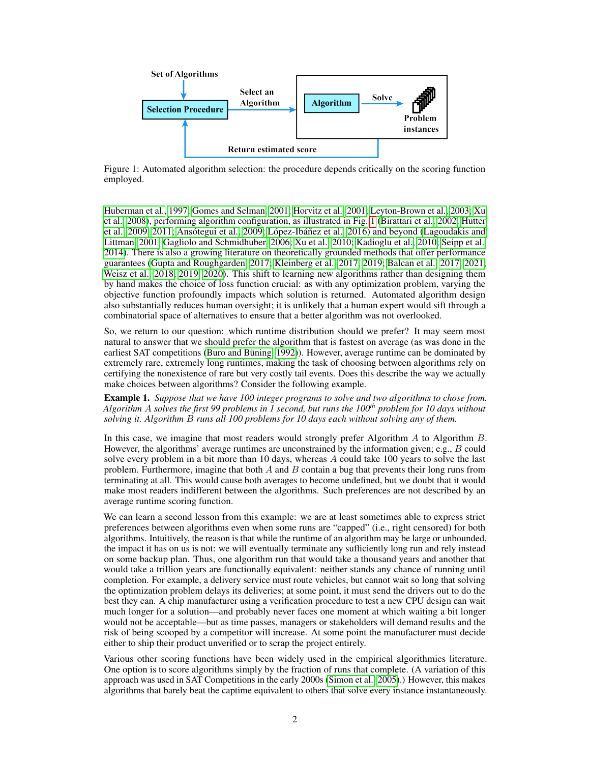<span id="page-1-0"></span>

Figure 1: Automated algorithm selection: the procedure depends critically on the scoring function employed.

[Huberman et al., 1997;](#page-12-0) [Gomes and Selman, 2001;](#page-12-1) [Horvitz et al., 2001;](#page-12-2) [Leyton-Brown et al., 2003;](#page-13-1) [Xu](#page-13-2) [et al., 2008\)](#page-13-2), performing algorithm configuration, as illustrated in Fig. [1](#page-1-0) [\(Birattari et al., 2002;](#page-12-3) [Hutter](#page-12-4) [et al., 2009,](#page-12-4) [2011;](#page-12-5) [Ansótegui et al., 2009;](#page-11-0) [López-Ibáñez et al., 2016\)](#page-13-3) and beyond [\(Lagoudakis and](#page-13-4) [Littman, 2001;](#page-13-4) [Gagliolo and Schmidhuber, 2006;](#page-12-6) [Xu et al., 2010;](#page-13-5) [Kadioglu et al., 2010;](#page-12-7) [Seipp et al.,](#page-13-6) [2014\)](#page-13-6). There is also a growing literature on theoretically grounded methods that offer performance guarantees [\(Gupta and Roughgarden, 2017;](#page-12-8) [Kleinberg et al., 2017,](#page-12-9) [2019;](#page-12-10) [Balcan et al., 2017,](#page-12-11) [2021;](#page-11-1) [Weisz et al., 2018,](#page-13-7) [2019,](#page-13-8) [2020\)](#page-13-9). This shift to learning new algorithms rather than designing them by hand makes the choice of loss function crucial: as with any optimization problem, varying the objective function profoundly impacts which solution is returned. Automated algorithm design also substantially reduces human oversight; it is unlikely that a human expert would sift through a combinatorial space of alternatives to ensure that a better algorithm was not overlooked.

So, we return to our question: which runtime distribution should we prefer? It may seem most natural to answer that we should prefer the algorithm that is fastest on average (as was done in the earliest SAT competitions [\(Buro and Büning, 1992\)](#page-12-12)). However, average runtime can be dominated by extremely rare, extremely long runtimes, making the task of choosing between algorithms rely on certifying the nonexistence of rare but very costly tail events. Does this describe the way we actually make choices between algorithms? Consider the following example.

<span id="page-1-1"></span>Example 1. *Suppose that we have 100 integer programs to solve and two algorithms to chose from. Algorithm* A *solves the first 99 problems in 1 second, but runs the 100th problem for 10 days without solving it. Algorithm* B *runs all 100 problems for 10 days each without solving any of them.*

In this case, we imagine that most readers would strongly prefer Algorithm A to Algorithm B. However, the algorithms' average runtimes are unconstrained by the information given; e.g., B could solve every problem in a bit more than 10 days, whereas  $A$  could take 100 years to solve the last problem. Furthermore, imagine that both  $A$  and  $B$  contain a bug that prevents their long runs from terminating at all. This would cause both averages to become undefined, but we doubt that it would make most readers indifferent between the algorithms. Such preferences are not described by an average runtime scoring function.

We can learn a second lesson from this example: we are at least sometimes able to express strict preferences between algorithms even when some runs are "capped" (i.e., right censored) for both algorithms. Intuitively, the reason is that while the runtime of an algorithm may be large or unbounded, the impact it has on us is not: we will eventually terminate any sufficiently long run and rely instead on some backup plan. Thus, one algorithm run that would take a thousand years and another that would take a trillion years are functionally equivalent: neither stands any chance of running until completion. For example, a delivery service must route vehicles, but cannot wait so long that solving the optimization problem delays its deliveries; at some point, it must send the drivers out to do the best they can. A chip manufacturer using a verification procedure to test a new CPU design can wait much longer for a solution—and probably never faces one moment at which waiting a bit longer would not be acceptable—but as time passes, managers or stakeholders will demand results and the risk of being scooped by a competitor will increase. At some point the manufacturer must decide either to ship their product unverified or to scrap the project entirely.

Various other scoring functions have been widely used in the empirical algorithmics literature. One option is to score algorithms simply by the fraction of runs that complete. (A variation of this approach was used in SAT Competitions in the early 2000s [\(Simon et al., 2005\)](#page-13-10).) However, this makes algorithms that barely beat the captime equivalent to others that solve every instance instantaneously.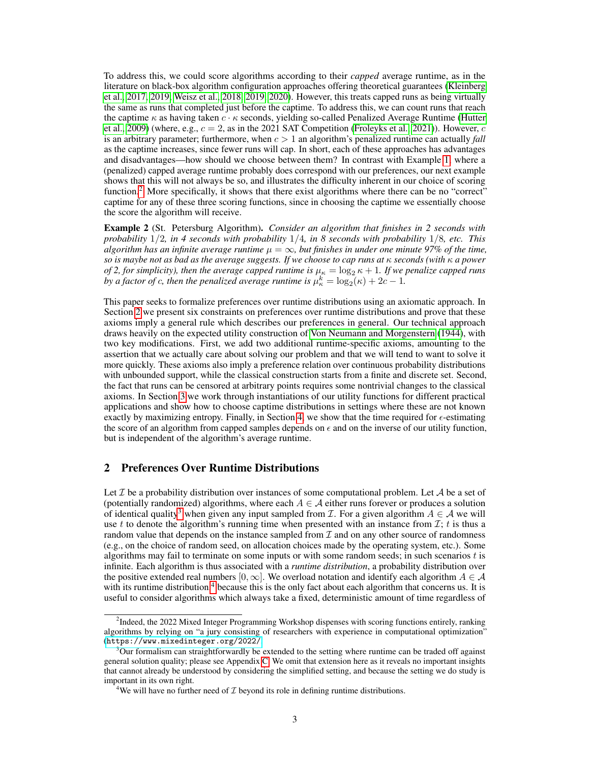To address this, we could score algorithms according to their *capped* average runtime, as in the literature on black-box algorithm configuration approaches offering theoretical guarantees [\(Kleinberg](#page-12-9) [et al., 2017,](#page-12-9) [2019;](#page-12-10) [Weisz et al., 2018,](#page-13-7) [2019,](#page-13-8) [2020\)](#page-13-9). However, this treats capped runs as being virtually the same as runs that completed just before the captime. To address this, we can count runs that reach the captime  $\kappa$  as having taken  $c \cdot \kappa$  seconds, yielding so-called Penalized Average Runtime [\(Hutter](#page-12-4) [et al., 2009\)](#page-12-4) (where, e.g.,  $c = 2$ , as in the 2021 SAT Competition [\(Froleyks et al., 2021\)](#page-12-13)). However, c is an arbitrary parameter; furthermore, when  $c > 1$  an algorithm's penalized runtime can actually *fall* as the captime increases, since fewer runs will cap. In short, each of these approaches has advantages and disadvantages—how should we choose between them? In contrast with Example [1,](#page-1-1) where a (penalized) capped average runtime probably does correspond with our preferences, our next example shows that this will not always be so, and illustrates the difficulty inherent in our choice of scoring function.<sup>[2](#page-2-0)</sup> More specifically, it shows that there exist algorithms where there can be no "correct" captime for any of these three scoring functions, since in choosing the captime we essentially choose the score the algorithm will receive.

Example 2 (St. Petersburg Algorithm). *Consider an algorithm that finishes in 2 seconds with probability* 1/2*, in 4 seconds with probability* 1/4*, in 8 seconds with probability* 1/8*, etc. This algorithm has an infinite average runtime*  $\mu = \infty$ , but finishes in under one minute 97% of the time, *so is maybe not as bad as the average suggests. If we choose to cap runs at* κ *seconds (with* κ *a power of 2, for simplicity), then the average capped runtime is*  $\mu_{\kappa} = \log_2 \kappa + 1$ *. If we penalize capped runs* by a factor of c, then the penalized average runtime is  $\mu_{\kappa}^{k} = \log_2(\kappa) + 2c - 1$ .

This paper seeks to formalize preferences over runtime distributions using an axiomatic approach. In Section [2](#page-2-1) we present six constraints on preferences over runtime distributions and prove that these axioms imply a general rule which describes our preferences in general. Our technical approach draws heavily on the expected utility construction of [Von Neumann and Morgenstern](#page-13-11) [\(1944\)](#page-13-11), with two key modifications. First, we add two additional runtime-specific axioms, amounting to the assertion that we actually care about solving our problem and that we will tend to want to solve it more quickly. These axioms also imply a preference relation over continuous probability distributions with unbounded support, while the classical construction starts from a finite and discrete set. Second, the fact that runs can be censored at arbitrary points requires some nontrivial changes to the classical axioms. In Section [3](#page-6-0) we work through instantiations of our utility functions for different practical applications and show how to choose captime distributions in settings where these are not known exactly by maximizing entropy. Finally, in Section [4,](#page-9-0) we show that the time required for  $\epsilon$ -estimating the score of an algorithm from capped samples depends on  $\epsilon$  and on the inverse of our utility function, but is independent of the algorithm's average runtime.

# <span id="page-2-1"></span>2 Preferences Over Runtime Distributions

Let  $\mathcal I$  be a probability distribution over instances of some computational problem. Let  $\mathcal A$  be a set of (potentially randomized) algorithms, where each  $A \in \mathcal{A}$  either runs forever or produces a solution of identical quality<sup>[3](#page-2-2)</sup> when given any input sampled from *I*. For a given algorithm  $A \in \mathcal{A}$  we will use t to denote the algorithm's running time when presented with an instance from  $\mathcal{I}$ ; t is thus a random value that depends on the instance sampled from  $\mathcal I$  and on any other source of randomness (e.g., on the choice of random seed, on allocation choices made by the operating system, etc.). Some algorithms may fail to terminate on some inputs or with some random seeds; in such scenarios  $t$  is infinite. Each algorithm is thus associated with a *runtime distribution*, a probability distribution over the positive extended real numbers  $[0, \infty]$ . We overload notation and identify each algorithm  $A \in \mathcal{A}$ with its runtime distribution, $4$  because this is the only fact about each algorithm that concerns us. It is useful to consider algorithms which always take a fixed, deterministic amount of time regardless of

<span id="page-2-0"></span><sup>&</sup>lt;sup>2</sup>Indeed, the 2022 Mixed Integer Programming Workshop dispenses with scoring functions entirely, ranking algorithms by relying on "a jury consisting of researchers with experience in computational optimization" (<https://www.mixedinteger.org/2022/>.

<span id="page-2-2"></span> $3$ Our formalism can straightforwardly be extended to the setting where runtime can be traded off against general solution quality; please see Appendix [C.](#page-21-0) We omit that extension here as it reveals no important insights that cannot already be understood by considering the simplified setting, and because the setting we do study is important in its own right.

<span id="page-2-3"></span><sup>&</sup>lt;sup>4</sup>We will have no further need of  $\mathcal I$  beyond its role in defining runtime distributions.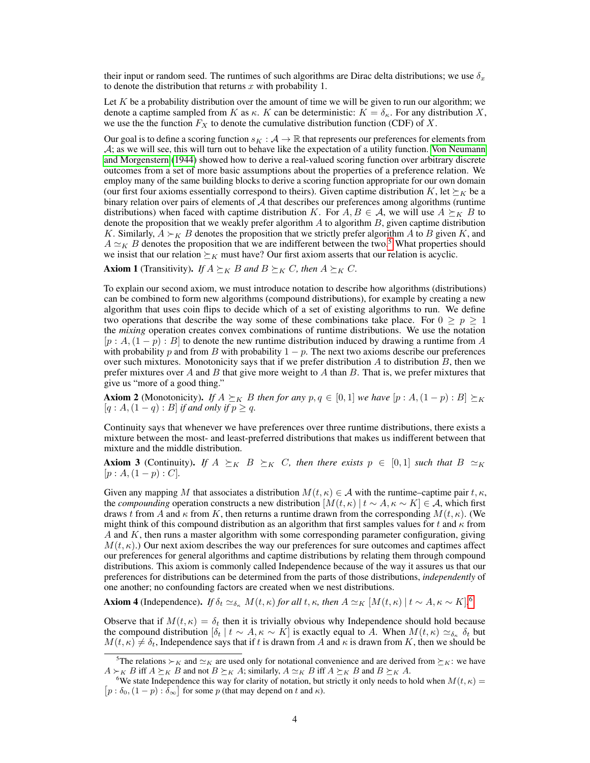their input or random seed. The runtimes of such algorithms are Dirac delta distributions; we use  $\delta_x$ to denote the distribution that returns  $x$  with probability 1.

Let  $K$  be a probability distribution over the amount of time we will be given to run our algorithm; we denote a captime sampled from K as  $\kappa$ . K can be deterministic:  $K = \delta_{\kappa}$ . For any distribution X, we use the the function  $F_X$  to denote the cumulative distribution function (CDF) of X.

Our goal is to define a scoring function  $s_K : A \to \mathbb{R}$  that represents our preferences for elements from  $\mathcal{A}$ ; as we will see, this will turn out to behave like the expectation of a utility function. [Von Neumann](#page-13-11) [and Morgenstern](#page-13-11) [\(1944\)](#page-13-11) showed how to derive a real-valued scoring function over arbitrary discrete outcomes from a set of more basic assumptions about the properties of a preference relation. We employ many of the same building blocks to derive a scoring function appropriate for our own domain (our first four axioms essentially correspond to theirs). Given captime distribution K, let  $\succeq_K$  be a binary relation over pairs of elements of  $A$  that describes our preferences among algorithms (runtime distributions) when faced with captime distribution K. For  $A, B \in \mathcal{A}$ , we will use  $A \succeq_K B$  to denote the proposition that we weakly prefer algorithm  $A$  to algorithm  $B$ , given captime distribution K. Similarly,  $A \succ_K B$  denotes the proposition that we strictly prefer algorithm A to B given K, and  $A \simeq_K B$  denotes the proposition that we are indifferent between the two.<sup>[5](#page-3-0)</sup> What properties should we insist that our relation  $\succeq_K$  must have? Our first axiom asserts that our relation is acyclic.

<span id="page-3-2"></span>**Axiom 1** (Transitivity). *If*  $A \succeq_K B$  *and*  $B \succeq_K C$ *, then*  $A \succeq_K C$ *.* 

To explain our second axiom, we must introduce notation to describe how algorithms (distributions) can be combined to form new algorithms (compound distributions), for example by creating a new algorithm that uses coin flips to decide which of a set of existing algorithms to run. We define two operations that describe the way some of these combinations take place. For  $0 \ge p \ge 1$ the *mixing* operation creates convex combinations of runtime distributions. We use the notation  $[p : A, (1-p) : B]$  to denote the new runtime distribution induced by drawing a runtime from A with probability p and from B with probability  $1 - p$ . The next two axioms describe our preferences over such mixtures. Monotonicity says that if we prefer distribution  $A$  to distribution  $B$ , then we prefer mixtures over A and B that give more weight to A than B. That is, we prefer mixtures that give us "more of a good thing."

**Axiom 2** (Monotonicity). *If*  $A \succeq_K B$  *then for any*  $p, q \in [0, 1]$  *we have*  $[p : A, (1 - p) : B] \succeq_K B$  $[q: A,(1-q):B]$  *if and only if*  $p \geq q$ *.* 

Continuity says that whenever we have preferences over three runtime distributions, there exists a mixture between the most- and least-preferred distributions that makes us indifferent between that mixture and the middle distribution.

**Axiom 3** (Continuity). *If*  $A \succeq_K B \succeq_K C$ , then there exists  $p \in [0,1]$  such that  $B \simeq_K$  $[p : A,(1-p) : C].$ 

Given any mapping M that associates a distribution  $M(t, \kappa) \in \mathcal{A}$  with the runtime–captime pair t,  $\kappa$ , the *compounding* operation constructs a new distribution  $[M(t, \kappa) | t \sim A, \kappa \sim K] \in \mathcal{A}$ , which first draws t from A and  $\kappa$  from K, then returns a runtime drawn from the corresponding  $M(t, \kappa)$ . (We might think of this compound distribution as an algorithm that first samples values for t and  $\kappa$  from  $A$  and  $K$ , then runs a master algorithm with some corresponding parameter configuration, giving  $M(t, \kappa)$ .) Our next axiom describes the way our preferences for sure outcomes and captimes affect our preferences for general algorithms and captime distributions by relating them through compound distributions. This axiom is commonly called Independence because of the way it assures us that our preferences for distributions can be determined from the parts of those distributions, *independently* of one another; no confounding factors are created when we nest distributions.

**Axiom 4** (Independence). *If*  $\delta_t \simeq_{\delta_{\kappa}} M(t,\kappa)$  *for all*  $t,\kappa$ *, then*  $A \simeq_K [M(t,\kappa) | t \sim A, \kappa \sim K]$ .<sup>[6](#page-3-1)</sup>

Observe that if  $M(t, \kappa) = \delta_t$  then it is trivially obvious why Independence should hold because the compound distribution  $[\delta_t | t \sim A, \kappa \sim K]$  is exactly equal to A. When  $M(t, \kappa) \simeq_{\delta_{\kappa}} \delta_t$  but  $M(t, \kappa) \neq \delta_t$ , Independence says that if t is drawn from A and  $\kappa$  is drawn from K, then we should be

<span id="page-3-0"></span><sup>&</sup>lt;sup>5</sup>The relations  $\succ_K$  and  $\simeq_K$  are used only for notational convenience and are derived from  $\succeq_K$ : we have  $A \succ_K B$  iff  $A \succeq_K B$  and not  $B \succeq_K A$ ; similarly,  $A \simeq_K B$  iff  $A \succeq_K B$  and  $B \succeq_K A$ .

<span id="page-3-1"></span> $[p : \delta_0, (1-p) : \delta_{\infty}]$  for some p (that may depend on t and  $\kappa$ ). <sup>6</sup>We state Independence this way for clarity of notation, but strictly it only needs to hold when  $M(t, \kappa)$  =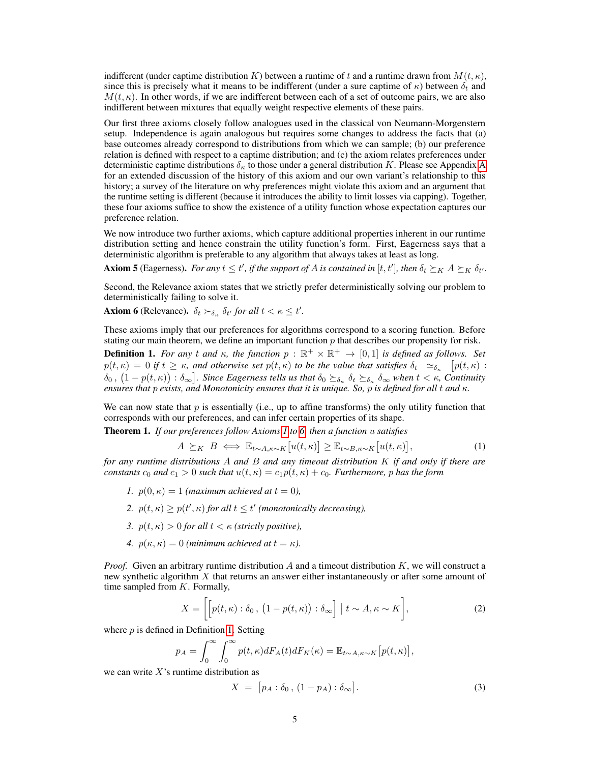indifferent (under captime distribution K) between a runtime of t and a runtime drawn from  $M(t, \kappa)$ , since this is precisely what it means to be indifferent (under a sure captime of  $\kappa$ ) between  $\delta_t$  and  $M(t, \kappa)$ . In other words, if we are indifferent between each of a set of outcome pairs, we are also indifferent between mixtures that equally weight respective elements of these pairs.

Our first three axioms closely follow analogues used in the classical von Neumann-Morgenstern setup. Independence is again analogous but requires some changes to address the facts that (a) base outcomes already correspond to distributions from which we can sample; (b) our preference relation is defined with respect to a captime distribution; and (c) the axiom relates preferences under deterministic captime distributions  $\delta_{\kappa}$  to those under a general distribution K. Please see [A](#page-14-0)ppendix A for an extended discussion of the history of this axiom and our own variant's relationship to this history; a survey of the literature on why preferences might violate this axiom and an argument that the runtime setting is different (because it introduces the ability to limit losses via capping). Together, these four axioms suffice to show the existence of a utility function whose expectation captures our preference relation.

We now introduce two further axioms, which capture additional properties inherent in our runtime distribution setting and hence constrain the utility function's form. First, Eagerness says that a deterministic algorithm is preferable to any algorithm that always takes at least as long.

**Axiom 5** (Eagerness). For any  $t \le t'$ , if the support of A is contained in [t, t'], then  $\delta_t \succeq_K A \succeq_K \delta_{t'}$ .

Second, the Relevance axiom states that we strictly prefer deterministically solving our problem to deterministically failing to solve it.

<span id="page-4-0"></span>**Axiom 6** (Relevance).  $\delta_t \succ_{\delta_{\kappa}} \delta_{t'}$  for all  $t < \kappa \leq t'$ .

These axioms imply that our preferences for algorithms correspond to a scoring function. Before stating our main theorem, we define an important function  $p$  that describes our propensity for risk.

<span id="page-4-1"></span>**Definition 1.** For any t and  $\kappa$ , the function  $p : \mathbb{R}^+ \times \mathbb{R}^+ \to [0,1]$  is defined as follows. Set  $p(t,\kappa) = 0$  if  $t \geq \kappa$ , and otherwise set  $p(t,\kappa)$  to be the value that satisfies  $\delta_t$   $\simeq_{\delta_{\kappa}}$   $[p(t,\kappa)$  :  $\delta_0$  ,  $(1-p(t, \kappa))$  :  $\delta_{\infty}$ ]. Since Eagerness tells us that  $\delta_0 \succeq_{\delta_{\kappa}} \delta_t \succeq_{\delta_{\kappa}} \delta_{\infty}$  when  $t < \kappa$ , Continuity *ensures that* p *exists, and Monotonicity ensures that it is unique. So,* p *is defined for all* t *and* κ*.*

We can now state that  $p$  is essentially (i.e., up to affine transforms) the only utility function that corresponds with our preferences, and can infer certain properties of its shape.

<span id="page-4-4"></span>Theorem 1. *If our preferences follow Axioms [1](#page-3-2) to [6,](#page-4-0) then a function* u *satisfies*

<span id="page-4-3"></span>
$$
A \succeq_K B \iff \mathbb{E}_{t \sim A, \kappa \sim K}[u(t, \kappa)] \ge \mathbb{E}_{t \sim B, \kappa \sim K}[u(t, \kappa)], \tag{1}
$$

*for any runtime distributions* A *and* B *and any timeout distribution* K *if and only if there are constants*  $c_0$  *and*  $c_1 > 0$  *such that*  $u(t, \kappa) = c_1 p(t, \kappa) + c_0$ *. Furthermore,* p has the form

- *1.*  $p(0, \kappa) = 1$  *(maximum achieved at*  $t = 0$ *),*
- 2.  $p(t, \kappa) \geq p(t', \kappa)$  for all  $t \leq t'$  (monotonically decreasing),
- *3.*  $p(t, \kappa) > 0$  *for all*  $t < \kappa$  *(strictly positive),*
- *4.*  $p(\kappa, \kappa) = 0$  *(minimum achieved at*  $t = \kappa$ *).*

*Proof.* Given an arbitrary runtime distribution A and a timeout distribution K, we will construct a new synthetic algorithm  $X$  that returns an answer either instantaneously or after some amount of time sampled from  $K$ . Formally,

$$
X = \left[ \left[ p(t, \kappa) : \delta_0, \left( 1 - p(t, \kappa) \right) : \delta_\infty \right] \middle| t \sim A, \kappa \sim K \right],
$$
 (2)

where  $p$  is defined in Definition [1.](#page-4-1) Setting

$$
p_A = \int_0^\infty \int_0^\infty p(t,\kappa) dF_A(t) dF_K(\kappa) = \mathbb{E}_{t \sim A, \kappa \sim K} [p(t,\kappa)],
$$
  
sumtime distribution as

we can write  $X$ 's runtime distribution as

<span id="page-4-2"></span>
$$
X = [p_A : \delta_0, (1 - p_A) : \delta_\infty].
$$
\n(3)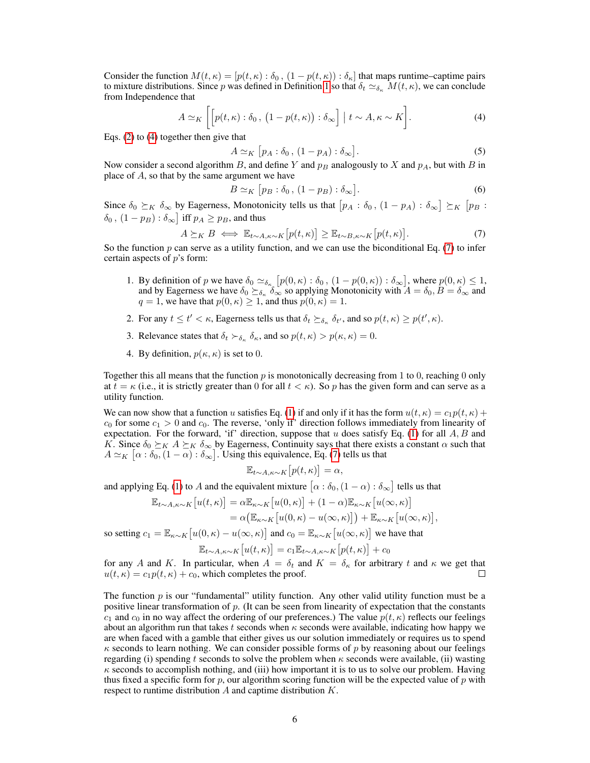Consider the function  $M(t, \kappa) = [p(t, \kappa) : \delta_0, (1 - p(t, \kappa)) : \delta_{\kappa}]$  that maps runtime–captime pairs to mixture distributions. Since p was defined in Definition [1](#page-4-1) so that  $\delta_t \simeq_{\delta_{\kappa}} M(t,\kappa)$ , we can conclude from Independence that

$$
A \simeq_K \left[ \left[ p(t,\kappa) : \delta_0 , \left( 1 - p(t,\kappa) \right) : \delta_\infty \right] \mid t \sim A, \kappa \sim K \right]. \tag{4}
$$

Eqs. [\(2\)](#page-4-2) to [\(4\)](#page-5-0) together then give that

<span id="page-5-0"></span>
$$
A \simeq_K [p_A : \delta_0, (1 - p_A) : \delta_\infty]. \tag{5}
$$

Now consider a second algorithm B, and define Y and  $p_B$  analogously to X and  $p_A$ , but with B in place of  $A$ , so that by the same argument we have

<span id="page-5-1"></span>
$$
B \simeq_K [p_B : \delta_0, (1 - p_B) : \delta_\infty]. \tag{6}
$$

Since  $\delta_0 \succeq_K \delta_\infty$  by Eagerness, Monotonicity tells us that  $[p_A : \delta_0, (1 - p_A) : \delta_\infty] \succeq_K [p_B :$  $\delta_0$  ,  $(1-p_B): \delta_\infty$  iff  $p_A \geq p_B$ , and thus

$$
A \succeq_K B \iff \mathbb{E}_{t \sim A, \kappa \sim K} [p(t, \kappa)] \ge \mathbb{E}_{t \sim B, \kappa \sim K} [p(t, \kappa)]. \tag{7}
$$

So the function  $p$  can serve as a utility function, and we can use the biconditional Eq. [\(7\)](#page-5-1) to infer certain aspects of  $p$ 's form:

- 1. By definition of p we have  $\delta_0 \simeq_{\delta_{\kappa}} [p(0,\kappa) : \delta_0, (1 p(0,\kappa)) : \delta_{\infty}]$ , where  $p(0,\kappa) \leq 1$ , and by Eagerness we have  $\delta_0 \succeq_{\delta_{\kappa}} \delta_{\infty}$  so applying Monotonicity with  $A = \delta_0, B = \delta_{\infty}$  and  $q = 1$ , we have that  $p(0, \kappa) \ge 1$ , and thus  $p(0, \kappa) = 1$ .
- 2. For any  $t \le t' < \kappa$ , Eagerness tells us that  $\delta_t \succeq_{\delta_{\kappa}} \delta_{t'}$ , and so  $p(t, \kappa) \ge p(t', \kappa)$ .
- 3. Relevance states that  $\delta_t \succ_{\delta_{\kappa}} \delta_{\kappa}$ , and so  $p(t, \kappa) > p(\kappa, \kappa) = 0$ .
- 4. By definition,  $p(\kappa, \kappa)$  is set to 0.

Together this all means that the function  $p$  is monotonically decreasing from 1 to 0, reaching 0 only at  $t = \kappa$  (i.e., it is strictly greater than 0 for all  $t < \kappa$ ). So p has the given form and can serve as a utility function.

We can now show that a function u satisfies Eq. [\(1\)](#page-4-3) if and only if it has the form  $u(t, \kappa) = c_1 p(t, \kappa) +$  $c_0$  for some  $c_1 > 0$  and  $c_0$ . The reverse, 'only if' direction follows immediately from linearity of expectation. For the forward, 'if' direction, suppose that  $u$  does satisfy Eq. [\(1\)](#page-4-3) for all  $A, B$  and K. Since  $\delta_0 \succeq_K A \succeq_K \delta_\infty$  by Eagerness, Continuity says that there exists a constant  $\alpha$  such that  $A \simeq_K [\alpha : \delta_0, (1 - \alpha) : \delta_{\infty}]$ . Using this equivalence, Eq. [\(7\)](#page-5-1) tells us that

$$
\mathbb{E}_{t \sim A, \kappa \sim K} \left[ p(t, \kappa) \right] = \alpha,
$$

and applying Eq. [\(1\)](#page-4-3) to A and the equivalent mixture  $\left[\alpha : \delta_0, (1-\alpha) : \delta_\infty\right]$  tells us that

$$
\mathbb{E}_{t \sim A, \kappa \sim K} [u(t, \kappa)] = \alpha \mathbb{E}_{\kappa \sim K} [u(0, \kappa)] + (1 - \alpha) \mathbb{E}_{\kappa \sim K} [u(\infty, \kappa)] \n= \alpha (\mathbb{E}_{\kappa \sim K} [u(0, \kappa) - u(\infty, \kappa)]) + \mathbb{E}_{\kappa \sim K} [u(\infty, \kappa)],
$$

so setting  $c_1 = \mathbb{E}_{\kappa \sim K} [u(0, \kappa) - u(\infty, \kappa)]$  and  $c_0 = \mathbb{E}_{\kappa \sim K} [u(\infty, \kappa)]$  we have that

$$
\mathbb{E}_{t \sim A, \kappa \sim K} \big[ u(t, \kappa) \big] = c_1 \mathbb{E}_{t \sim A, \kappa \sim K} \big[ p(t, \kappa) \big] + c_0
$$

for any A and K. In particular, when  $A = \delta_t$  and  $K = \delta_{\kappa}$  for arbitrary t and  $\kappa$  we get that  $u(t, \kappa) = c_1 p(t, \kappa) + c_0$ , which completes the proof.  $\Box$ 

The function  $p$  is our "fundamental" utility function. Any other valid utility function must be a positive linear transformation of  $p$ . (It can be seen from linearity of expectation that the constants  $c_1$  and  $c_0$  in no way affect the ordering of our preferences.) The value  $p(t, \kappa)$  reflects our feelings about an algorithm run that takes t seconds when  $\kappa$  seconds were available, indicating how happy we are when faced with a gamble that either gives us our solution immediately or requires us to spend  $\kappa$  seconds to learn nothing. We can consider possible forms of p by reasoning about our feelings regarding (i) spending t seconds to solve the problem when  $\kappa$  seconds were available, (ii) wasting  $\kappa$  seconds to accomplish nothing, and (iii) how important it is to us to solve our problem. Having thus fixed a specific form for p, our algorithm scoring function will be the expected value of p with respect to runtime distribution  $A$  and captime distribution  $K$ .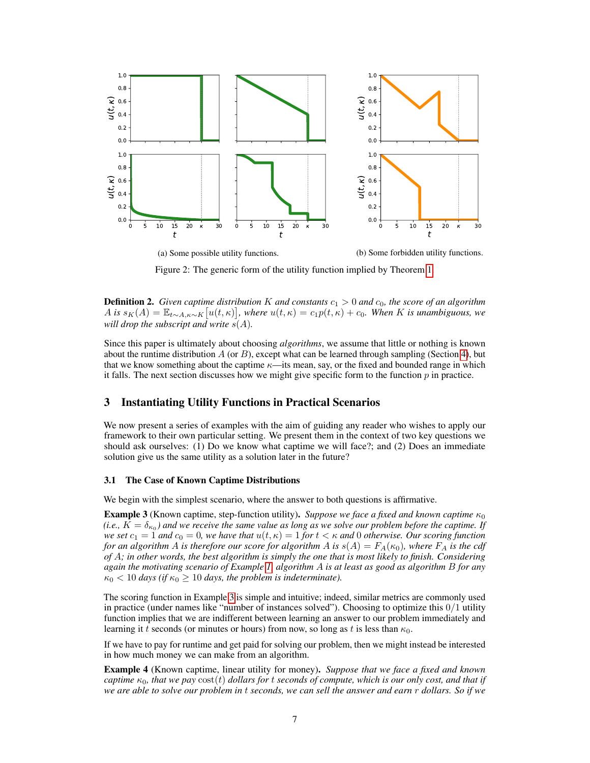

Figure 2: The generic form of the utility function implied by Theorem [1.](#page-4-4)

**Definition 2.** Given captime distribution K and constants  $c_1 > 0$  and  $c_0$ , the score of an algorithm  $\hat{A}$  *is*  $s_K(A) = \mathbb{E}_{t \sim A, \kappa \sim K}[u(t, \kappa)]$ , where  $u(t, \kappa) = c_1 p(t, \kappa) + c_0$ . When K *is unambiguous, we will drop the subscript and write* s(A)*.*

Since this paper is ultimately about choosing *algorithms*, we assume that little or nothing is known about the runtime distribution  $A$  (or  $B$ ), except what can be learned through sampling (Section [4\)](#page-9-0), but that we know something about the captime  $\kappa$ —its mean, say, or the fixed and bounded range in which it falls. The next section discusses how we might give specific form to the function  $p$  in practice.

# <span id="page-6-0"></span>3 Instantiating Utility Functions in Practical Scenarios

We now present a series of examples with the aim of guiding any reader who wishes to apply our framework to their own particular setting. We present them in the context of two key questions we should ask ourselves: (1) Do we know what captime we will face?; and (2) Does an immediate solution give us the same utility as a solution later in the future?

#### 3.1 The Case of Known Captime Distributions

We begin with the simplest scenario, where the answer to both questions is affirmative.

<span id="page-6-1"></span>**Example 3** (Known captime, step-function utility). *Suppose we face a fixed and known captime*  $\kappa_0$ (i.e.,  $K = \delta_{\kappa_0}$ ) and we receive the same value as long as we solve our problem before the captime. If *we set*  $c_1 = 1$  *and*  $c_0 = 0$ *, we have that*  $u(t, \kappa) = 1$  *for*  $t < \kappa$  *and* 0 *otherwise. Our scoring function for an algorithm* A *is therefore our score for algorithm* A *is*  $s(A) = F_A(\kappa_0)$ *, where*  $F_A$  *is the cdf of* A*; in other words, the best algorithm is simply the one that is most likely to finish. Considering again the motivating scenario of Example [1,](#page-1-1) algorithm* A *is at least as good as algorithm* B *for any*  $\kappa_0$  < 10 *days* (if  $\kappa_0 \ge 10$  *days, the problem is indeterminate).* 

The scoring function in Example [3](#page-6-1) is simple and intuitive; indeed, similar metrics are commonly used in practice (under names like "number of instances solved"). Choosing to optimize this  $0/1$  utility function implies that we are indifferent between learning an answer to our problem immediately and learning it t seconds (or minutes or hours) from now, so long as t is less than  $\kappa_0$ .

If we have to pay for runtime and get paid for solving our problem, then we might instead be interested in how much money we can make from an algorithm.

<span id="page-6-2"></span>Example 4 (Known captime, linear utility for money). *Suppose that we face a fixed and known captime*  $\kappa_0$ , that we pay  $cost(t)$  *dollars for* t *seconds of compute, which is our only cost, and that if we are able to solve our problem in* t *seconds, we can sell the answer and earn* r *dollars. So if we*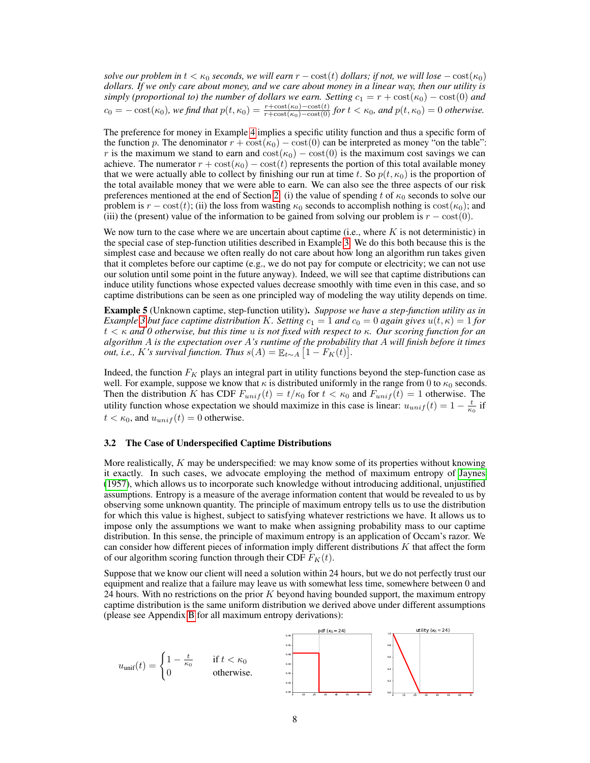*solve our problem in*  $t < \kappa_0$  *seconds, we will earn*  $r - \text{cost}(t)$  *dollars; if not, we will lose*  $-\text{cost}(\kappa_0)$ *dollars. If we only care about money, and we care about money in a linear way, then our utility is simply (proportional to) the number of dollars we earn. Setting*  $c_1 = r + \text{cost}(\kappa_0) - \text{cost}(0)$  *and*  $c_0 = -\cosh(\kappa_0)$ , we find that  $p(t, \kappa_0) = \frac{r+\cos(t(\kappa_0)-\cos(t)}{r+\cos(t(\kappa_0)-\cos(t))}$  for  $t < \kappa_0$ , and  $p(t, \kappa_0) = 0$  otherwise.

The preference for money in Example [4](#page-6-2) implies a specific utility function and thus a specific form of the function p. The denominator  $r + \cos(t\kappa_0) - \cos(t\omega)$  can be interpreted as money "on the table": r is the maximum we stand to earn and  $cost(\kappa_0) - cost(0)$  is the maximum cost savings we can achieve. The numerator  $r + \text{cost}(\kappa_0) - \text{cost}(t)$  represents the portion of this total available money that we were actually able to collect by finishing our run at time t. So  $p(t, \kappa_0)$  is the proportion of the total available money that we were able to earn. We can also see the three aspects of our risk preferences mentioned at the end of Section [2:](#page-2-1) (i) the value of spending t of  $\kappa_0$  seconds to solve our problem is  $r - \text{cost}(t)$ ; (ii) the loss from wasting  $\kappa_0$  seconds to accomplish nothing is  $\text{cost}(\kappa_0)$ ; and (iii) the (present) value of the information to be gained from solving our problem is  $r - \text{cost}(0)$ .

We now turn to the case where we are uncertain about captime (i.e., where  $K$  is not deterministic) in the special case of step-function utilities described in Example [3.](#page-6-1) We do this both because this is the simplest case and because we often really do not care about how long an algorithm run takes given that it completes before our captime (e.g., we do not pay for compute or electricity; we can not use our solution until some point in the future anyway). Indeed, we will see that captime distributions can induce utility functions whose expected values decrease smoothly with time even in this case, and so captime distributions can be seen as one principled way of modeling the way utility depends on time.

Example 5 (Unknown captime, step-function utility). *Suppose we have a step-function utility as in Example* [3](#page-6-1) *but face captime distribution* K. Setting  $c_1 = 1$  *and*  $c_0 = 0$  *again gives*  $u(t, \kappa) = 1$  *for* t < κ *and 0 otherwise, but this time* u *is not fixed with respect to* κ*. Our scoring function for an algorithm* A *is the expectation over* A*'s runtime of the probability that* A *will finish before it times out, i.e., K's survival function. Thus*  $s(A) = \mathbb{E}_{t \sim A} [1 - F_K(t)].$ 

Indeed, the function  $F_K$  plays an integral part in utility functions beyond the step-function case as well. For example, suppose we know that  $\kappa$  is distributed uniformly in the range from 0 to  $\kappa_0$  seconds. Then the distribution K has CDF  $F_{unif}(t) = t/\kappa_0$  for  $t < \kappa_0$  and  $F_{unif}(t) = 1$  otherwise. The utility function whose expectation we should maximize in this case is linear:  $u_{unif}(t) = 1 - \frac{t}{\kappa_0}$  if  $t < \kappa_0$ , and  $u_{unif}(t) = 0$  otherwise.

#### 3.2 The Case of Underspecified Captime Distributions

More realistically,  $K$  may be underspecified: we may know some of its properties without knowing it exactly. In such cases, we advocate employing the method of maximum entropy of [Jaynes](#page-12-14) [\(1957\)](#page-12-14), which allows us to incorporate such knowledge without introducing additional, unjustified assumptions. Entropy is a measure of the average information content that would be revealed to us by observing some unknown quantity. The principle of maximum entropy tells us to use the distribution for which this value is highest, subject to satisfying whatever restrictions we have. It allows us to impose only the assumptions we want to make when assigning probability mass to our captime distribution. In this sense, the principle of maximum entropy is an application of Occam's razor. We can consider how different pieces of information imply different distributions  $K$  that affect the form of our algorithm scoring function through their CDF  $F_K(t)$ .

Suppose that we know our client will need a solution within 24 hours, but we do not perfectly trust our equipment and realize that a failure may leave us with somewhat less time, somewhere between 0 and 24 hours. With no restrictions on the prior  $K$  beyond having bounded support, the maximum entropy captime distribution is the same uniform distribution we derived above under different assumptions (please see Appendix [B](#page-16-0) for all maximum entropy derivations):

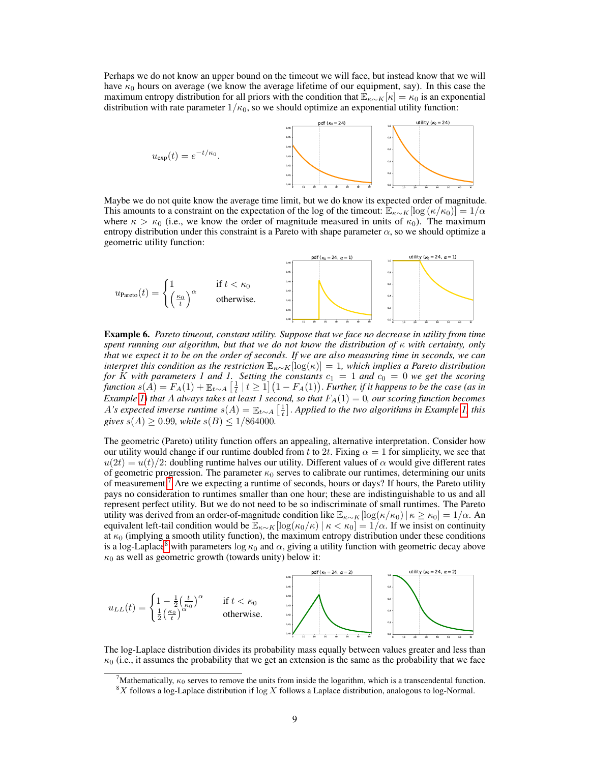Perhaps we do not know an upper bound on the timeout we will face, but instead know that we will have  $\kappa_0$  hours on average (we know the average lifetime of our equipment, say). In this case the maximum entropy distribution for all priors with the condition that  $\mathbb{E}_{\kappa \sim K}[\kappa] = \kappa_0$  is an exponential distribution with rate parameter  $1/\kappa_0$ , so we should optimize an exponential utility function:



Maybe we do not quite know the average time limit, but we do know its expected order of magnitude. This amounts to a constraint on the expectation of the log of the timeout:  $\mathbb{E}_{\kappa \sim K}[\log(\kappa/\kappa_0)] = 1/\alpha$ where  $\kappa > \kappa_0$  (i.e., we know the order of magnitude measured in units of  $\kappa_0$ ). The maximum entropy distribution under this constraint is a Pareto with shape parameter  $\alpha$ , so we should optimize a geometric utility function:



Example 6. *Pareto timeout, constant utility. Suppose that we face no decrease in utility from time spent running our algorithm, but that we do not know the distribution of* κ *with certainty, only that we expect it to be on the order of seconds. If we are also measuring time in seconds, we can interpret this condition as the restriction* Eκ∼K[log(κ)] = 1*, which implies a Pareto distribution for* K with parameters 1 and 1. Setting the constants  $c_1 = 1$  and  $c_0 = 0$  we get the scoring  $f$ unction  $s(A) = F_A(1) + \mathbb{E}_{t \sim A} \left[ \frac{1}{t} \mid t \ge 1 \right] (1 - F_A(1)).$  *Further, if it happens to be the case (as in Example* [1\)](#page-1-1) that A always takes at least 1 second, so that  $F_A(1) = 0$ , our scoring function becomes *A*'s expected inverse runtime  $s(A) = \mathbb{E}_{t \sim A} \left[ \frac{1}{t} \right]$ . Applied to the two algorithms in Example [1,](#page-1-1) this *gives*  $s(A) \ge 0.99$ *, while*  $s(B) \le 1/864000$ *.* 

The geometric (Pareto) utility function offers an appealing, alternative interpretation. Consider how our utility would change if our runtime doubled from t to 2t. Fixing  $\alpha = 1$  for simplicity, we see that  $u(2t) = u(t)/2$ : doubling runtime halves our utility. Different values of  $\alpha$  would give different rates of geometric progression. The parameter  $\kappa_0$  serves to calibrate our runtimes, determining our units of measurement.[7](#page-8-0) Are we expecting a runtime of seconds, hours or days? If hours, the Pareto utility pays no consideration to runtimes smaller than one hour; these are indistinguishable to us and all represent perfect utility. But we do not need to be so indiscriminate of small runtimes. The Pareto utility was derived from an order-of-magnitude condition like  $\mathbb{E}_{\kappa \sim K}[\log(\kappa/\kappa_0)| \kappa \ge \kappa_0] = 1/\alpha$ . An equivalent left-tail condition would be  $\mathbb{E}_{\kappa \sim K}[\log(\kappa_0/\kappa) \mid \kappa < \kappa_0] = 1/\alpha$ . If we insist on continuity at  $\kappa_0$  (implying a smooth utility function), the maximum entropy distribution under these conditions is a log-Laplace<sup>[8](#page-8-1)</sup> with parameters log  $\kappa_0$  and  $\alpha$ , giving a utility function with geometric decay above  $\kappa_0$  as well as geometric growth (towards unity) below it:



The log-Laplace distribution divides its probability mass equally between values greater and less than  $\kappa_0$  (i.e., it assumes the probability that we get an extension is the same as the probability that we face

<span id="page-8-0"></span>Mathematically,  $\kappa_0$  serves to remove the units from inside the logarithm, which is a transcendental function.

<span id="page-8-1"></span> $8X$  follows a log-Laplace distribution if log X follows a Laplace distribution, analogous to log-Normal.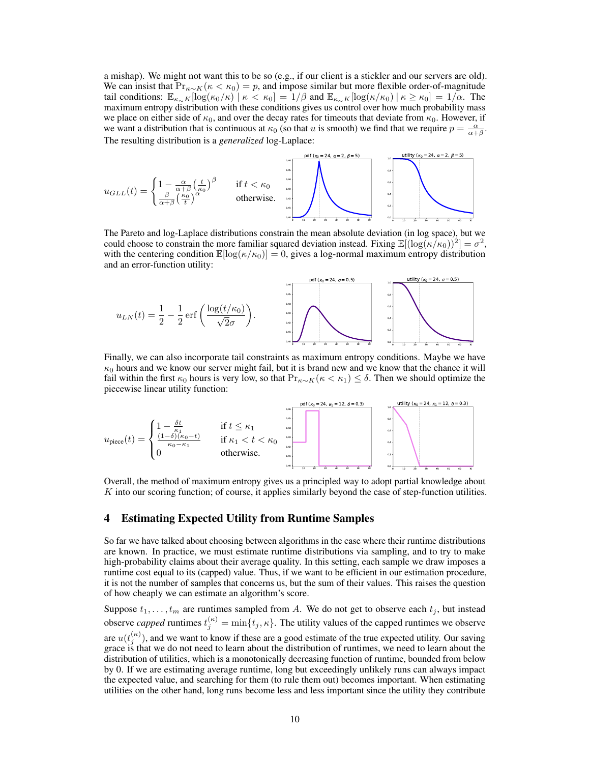a mishap). We might not want this to be so (e.g., if our client is a stickler and our servers are old). We can insist that  $Pr_{\kappa \sim K}(\kappa < \kappa_0) = p$ , and impose similar but more flexible order-of-magnitude tail conditions:  $\mathbb{E}_{\kappa \sim K}[\log(\kappa_0/\kappa)] \kappa < \kappa_0] = 1/\beta$  and  $\mathbb{E}_{\kappa \sim K}[\log(\kappa/\kappa_0)] \kappa \ge \kappa_0] = 1/\alpha$ . The maximum entropy distribution with these conditions gives us control over how much probability mass we place on either side of  $\kappa_0$ , and over the decay rates for timeouts that deviate from  $\kappa_0$ . However, if we want a distribution that is continuous at  $\kappa_0$  (so that u is smooth) we find that we require  $p = \frac{\alpha}{\alpha + \beta}$ . The resulting distribution is a *generalized* log-Laplace:



The Pareto and log-Laplace distributions constrain the mean absolute deviation (in log space), but we could choose to constrain the more familiar squared deviation instead. Fixing  $\mathbb{E}[(\log(\kappa/\kappa_0))^2] = \sigma^2$ , with the centering condition  $\mathbb{E}[\log(\kappa/\kappa_0)] = 0$ , gives a log-normal maximum entropy distribution and an error-function utility:



Finally, we can also incorporate tail constraints as maximum entropy conditions. Maybe we have  $\kappa_0$  hours and we know our server might fail, but it is brand new and we know that the chance it will fail within the first  $\kappa_0$  hours is very low, so that  $Pr_{\kappa \sim K}(\kappa < \kappa_1) \leq \delta$ . Then we should optimize the piecewise linear utility function:



Overall, the method of maximum entropy gives us a principled way to adopt partial knowledge about  $K$  into our scoring function; of course, it applies similarly beyond the case of step-function utilities.

# <span id="page-9-0"></span>4 Estimating Expected Utility from Runtime Samples

So far we have talked about choosing between algorithms in the case where their runtime distributions are known. In practice, we must estimate runtime distributions via sampling, and to try to make high-probability claims about their average quality. In this setting, each sample we draw imposes a runtime cost equal to its (capped) value. Thus, if we want to be efficient in our estimation procedure, it is not the number of samples that concerns us, but the sum of their values. This raises the question of how cheaply we can estimate an algorithm's score.

Suppose  $t_1, \ldots, t_m$  are runtimes sampled from A. We do not get to observe each  $t_j$ , but instead observe *capped* runtimes  $t_j^{(\kappa)} = \min\{t_j, \kappa\}$ . The utility values of the capped runtimes we observe are  $u(t_j^{(\kappa)})$ , and we want to know if these are a good estimate of the true expected utility. Our saving grace is that we do not need to learn about the distribution of runtimes, we need to learn about the distribution of utilities, which is a monotonically decreasing function of runtime, bounded from below by 0. If we are estimating average runtime, long but exceedingly unlikely runs can always impact the expected value, and searching for them (to rule them out) becomes important. When estimating utilities on the other hand, long runs become less and less important since the utility they contribute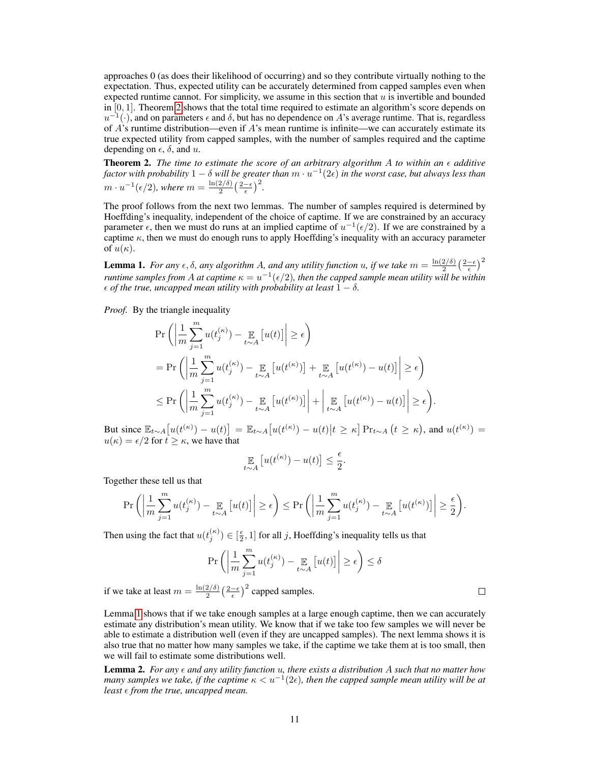approaches 0 (as does their likelihood of occurring) and so they contribute virtually nothing to the expectation. Thus, expected utility can be accurately determined from capped samples even when expected runtime cannot. For simplicity, we assume in this section that  $u$  is invertible and bounded in  $[0, 1]$ . Theorem [2](#page-10-0) shows that the total time required to estimate an algorithm's score depends on  $u^{-1}(\cdot)$ , and on parameters  $\epsilon$  and  $\delta$ , but has no dependence on A's average runtime. That is, regardless of  $\vec{A}$ 's runtime distribution—even if  $\vec{A}$ 's mean runtime is infinite—we can accurately estimate its true expected utility from capped samples, with the number of samples required and the captime depending on  $\epsilon$ ,  $\delta$ , and u.

<span id="page-10-0"></span>**Theorem 2.** The time to estimate the score of an arbitrary algorithm A to within an  $\epsilon$  additive factor with probability  $1-\delta$  will be greater than  $m\cdot u^{-1}(2\epsilon)$  in the worst case, but always less than  $m \cdot u^{-1}(\epsilon/2)$ , where  $m = \frac{\ln(2/\delta)}{2}$  $rac{2/\delta)}{2}\left(\frac{2-\epsilon}{\epsilon}\right)^2$ .

The proof follows from the next two lemmas. The number of samples required is determined by Hoeffding's inequality, independent of the choice of captime. If we are constrained by an accuracy parameter  $\epsilon$ , then we must do runs at an implied captime of  $u^{-1}(\epsilon/2)$ . If we are constrained by a captime  $\kappa$ , then we must do enough runs to apply Hoeffding's inequality with an accuracy parameter of  $u(\kappa)$ .

<span id="page-10-1"></span>**Lemma 1.** *For any*  $\epsilon$ ,  $\delta$ , *any* algorithm A, and any utility function u, if we take  $m = \frac{\ln(2/\delta)}{2}$  $\frac{2/\delta)}{2}\left(\frac{2-\epsilon}{\epsilon}\right)^2$ *runtime samples from A at captime*  $\kappa = u^{-1}(\epsilon/2)$ , then the capped sample mean utility will be within  $\epsilon$  *of the true, uncapped mean utility with probability at least*  $1 - \delta$ *.* 

*Proof.* By the triangle inequality

$$
\begin{split} &\Pr\left(\left|\frac{1}{m}\sum_{j=1}^{m}u(t_j^{(\kappa)})-\underset{t\sim A}{\mathbb{E}}\left[u(t)\right]\right|\geq\epsilon\right) \\ &=\Pr\left(\left|\frac{1}{m}\sum_{j=1}^{m}u(t_j^{(\kappa)})-\underset{t\sim A}{\mathbb{E}}\left[u(t^{(\kappa)})\right]+\underset{t\sim A}{\mathbb{E}}\left[u(t^{(\kappa)})-u(t)\right]\right|\geq\epsilon\right) \\ &\leq \Pr\left(\left|\frac{1}{m}\sum_{j=1}^{m}u(t_j^{(\kappa)})-\underset{t\sim A}{\mathbb{E}}\left[u(t^{(\kappa)})\right]\right|+\left|\underset{t\sim A}{\mathbb{E}}\left[u(t^{(\kappa)})-u(t)\right]\right|\geq\epsilon\right). \end{split}
$$

But since  $\mathbb{E}_{t\sim A} [u(t^{(\kappa)}) - u(t)] = \mathbb{E}_{t\sim A} [u(t^{(\kappa)}) - u(t)|t \ge \kappa] \Pr_{t\sim A} (t \ge \kappa)$ , and  $u(t^{(\kappa)}) =$  $u(\kappa) = \epsilon/2$  for  $t \geq \kappa$ , we have that

$$
\mathop{\mathbb{E}}_{t \sim A} \left[ u(t^{(\kappa)}) - u(t) \right] \leq \frac{\epsilon}{2}.
$$

Together these tell us that

$$
\Pr\left(\left|\frac{1}{m}\sum_{j=1}^{m}u(t_j^{(\kappa)}) - \underset{t \sim A}{\mathbb{E}}\left[u(t)\right]\right| \geq \epsilon\right) \leq \Pr\left(\left|\frac{1}{m}\sum_{j=1}^{m}u(t_j^{(\kappa)}) - \underset{t \sim A}{\mathbb{E}}\left[u(t^{(\kappa)})\right]\right| \geq \frac{\epsilon}{2}\right).
$$

Then using the fact that  $u(t_j^{(\kappa)}) \in [\frac{\epsilon}{2}, 1]$  for all j, Hoeffding's inequality tells us that

$$
\Pr\left(\left|\frac{1}{m}\sum_{j=1}^{m}u(t_j^{(\kappa)}) - \mathop{\mathbb{E}}_{t \sim A}\left[u(t)\right]\right| \ge \epsilon\right) \le \delta
$$

if we take at least  $m = \frac{\ln(2/\delta)}{2}$  $\frac{2/\delta}{2} \left(\frac{2-\epsilon}{\epsilon}\right)^2$  capped samples.

Lemma [1](#page-10-1) shows that if we take enough samples at a large enough captime, then we can accurately estimate any distribution's mean utility. We know that if we take too few samples we will never be able to estimate a distribution well (even if they are uncapped samples). The next lemma shows it is also true that no matter how many samples we take, if the captime we take them at is too small, then we will fail to estimate some distributions well.

Lemma 2. *For any and any utility function* u*, there exists a distribution* A *such that no matter how* many samples we take, if the captime  $\kappa < u^{-1}(2\epsilon)$ , then the capped sample mean utility will be at *least*  $\epsilon$  *from the true, uncapped mean.* 

 $\Box$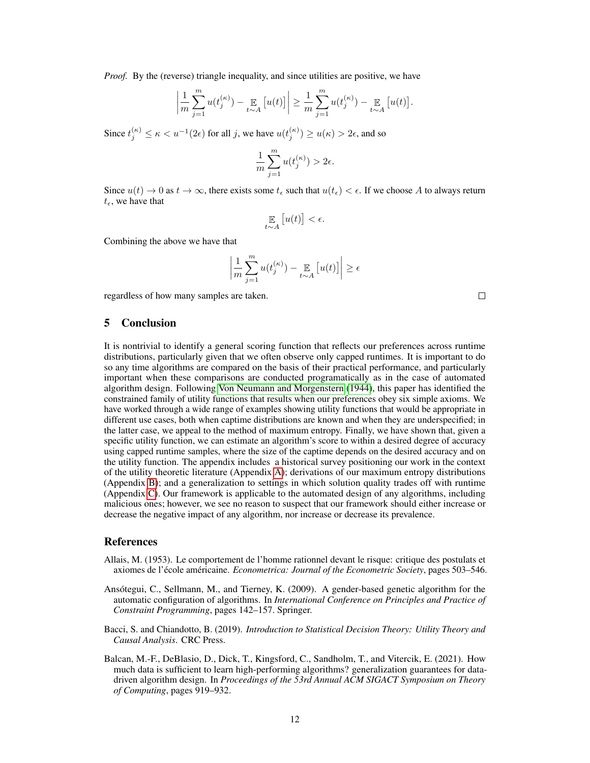*Proof.* By the (reverse) triangle inequality, and since utilities are positive, we have

$$
\left|\frac{1}{m}\sum_{j=1}^m u(t_j^{(\kappa)}) - \underset{t \sim A}{\mathbb{E}}\left[u(t)\right]\right| \geq \frac{1}{m}\sum_{j=1}^m u(t_j^{(\kappa)}) - \underset{t \sim A}{\mathbb{E}}\left[u(t)\right].
$$

Since  $t_j^{(\kappa)} \le \kappa < u^{-1}(2\epsilon)$  for all j, we have  $u(t_j^{(\kappa)}) \ge u(\kappa) > 2\epsilon$ , and so

$$
\frac{1}{m}\sum_{j=1}^m u(t_j^{(\kappa)}) > 2\epsilon.
$$

Since  $u(t) \to 0$  as  $t \to \infty$ , there exists some  $t_{\epsilon}$  such that  $u(t_{\epsilon}) < \epsilon$ . If we choose A to always return  $t_{\epsilon}$ , we have that

$$
\mathop{\mathbb{E}}_{t \sim A} \left[ u(t) \right] < \epsilon.
$$

Combining the above we have that

$$
\left|\frac{1}{m}\sum_{j=1}^m u(t_j^{(\kappa)}) - \mathop{\mathbb{E}}_{t \sim A} \left[ u(t) \right] \right| \geq \epsilon
$$

regardless of how many samples are taken.

# 5 Conclusion

It is nontrivial to identify a general scoring function that reflects our preferences across runtime distributions, particularly given that we often observe only capped runtimes. It is important to do so any time algorithms are compared on the basis of their practical performance, and particularly important when these comparisons are conducted programatically as in the case of automated algorithm design. Following [Von Neumann and Morgenstern](#page-13-11) [\(1944\)](#page-13-11), this paper has identified the constrained family of utility functions that results when our preferences obey six simple axioms. We have worked through a wide range of examples showing utility functions that would be appropriate in different use cases, both when captime distributions are known and when they are underspecified; in the latter case, we appeal to the method of maximum entropy. Finally, we have shown that, given a specific utility function, we can estimate an algorithm's score to within a desired degree of accuracy using capped runtime samples, where the size of the captime depends on the desired accuracy and on the utility function. The appendix includes a historical survey positioning our work in the context of the utility theoretic literature (Appendix [A\)](#page-14-0); derivations of our maximum entropy distributions (Appendix [B\)](#page-16-0); and a generalization to settings in which solution quality trades off with runtime (Appendix [C\)](#page-21-0). Our framework is applicable to the automated design of any algorithms, including malicious ones; however, we see no reason to suspect that our framework should either increase or decrease the negative impact of any algorithm, nor increase or decrease its prevalence.

# References

- <span id="page-11-3"></span>Allais, M. (1953). Le comportement de l'homme rationnel devant le risque: critique des postulats et axiomes de l'école américaine. *Econometrica: Journal of the Econometric Society*, pages 503–546.
- <span id="page-11-0"></span>Ansótegui, C., Sellmann, M., and Tierney, K. (2009). A gender-based genetic algorithm for the automatic configuration of algorithms. In *International Conference on Principles and Practice of Constraint Programming*, pages 142–157. Springer.
- <span id="page-11-2"></span>Bacci, S. and Chiandotto, B. (2019). *Introduction to Statistical Decision Theory: Utility Theory and Causal Analysis*. CRC Press.
- <span id="page-11-1"></span>Balcan, M.-F., DeBlasio, D., Dick, T., Kingsford, C., Sandholm, T., and Vitercik, E. (2021). How much data is sufficient to learn high-performing algorithms? generalization guarantees for datadriven algorithm design. In *Proceedings of the 53rd Annual ACM SIGACT Symposium on Theory of Computing*, pages 919–932.

 $\Box$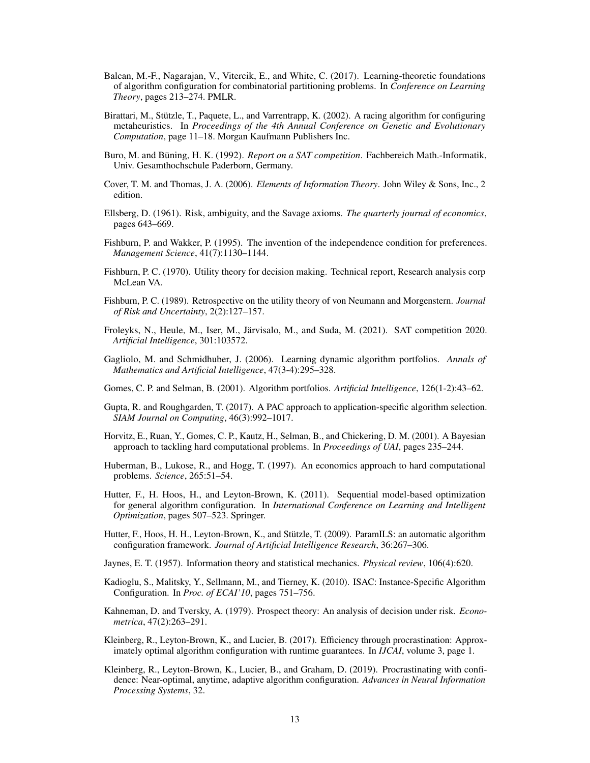- <span id="page-12-11"></span>Balcan, M.-F., Nagarajan, V., Vitercik, E., and White, C. (2017). Learning-theoretic foundations of algorithm configuration for combinatorial partitioning problems. In *Conference on Learning Theory*, pages 213–274. PMLR.
- <span id="page-12-3"></span>Birattari, M., Stützle, T., Paquete, L., and Varrentrapp, K. (2002). A racing algorithm for configuring metaheuristics. In *Proceedings of the 4th Annual Conference on Genetic and Evolutionary Computation*, page 11–18. Morgan Kaufmann Publishers Inc.
- <span id="page-12-12"></span>Buro, M. and Büning, H. K. (1992). *Report on a SAT competition*. Fachbereich Math.-Informatik, Univ. Gesamthochschule Paderborn, Germany.
- <span id="page-12-20"></span>Cover, T. M. and Thomas, J. A. (2006). *Elements of Information Theory*. John Wiley & Sons, Inc., 2 edition.
- <span id="page-12-18"></span>Ellsberg, D. (1961). Risk, ambiguity, and the Savage axioms. *The quarterly journal of economics*, pages 643–669.
- <span id="page-12-16"></span>Fishburn, P. and Wakker, P. (1995). The invention of the independence condition for preferences. *Management Science*, 41(7):1130–1144.
- <span id="page-12-17"></span>Fishburn, P. C. (1970). Utility theory for decision making. Technical report, Research analysis corp McLean VA.
- <span id="page-12-15"></span>Fishburn, P. C. (1989). Retrospective on the utility theory of von Neumann and Morgenstern. *Journal of Risk and Uncertainty*, 2(2):127–157.
- <span id="page-12-13"></span>Froleyks, N., Heule, M., Iser, M., Järvisalo, M., and Suda, M. (2021). SAT competition 2020. *Artificial Intelligence*, 301:103572.
- <span id="page-12-6"></span>Gagliolo, M. and Schmidhuber, J. (2006). Learning dynamic algorithm portfolios. *Annals of Mathematics and Artificial Intelligence*, 47(3-4):295–328.
- <span id="page-12-1"></span>Gomes, C. P. and Selman, B. (2001). Algorithm portfolios. *Artificial Intelligence*, 126(1-2):43–62.
- <span id="page-12-8"></span>Gupta, R. and Roughgarden, T. (2017). A PAC approach to application-specific algorithm selection. *SIAM Journal on Computing*, 46(3):992–1017.
- <span id="page-12-2"></span>Horvitz, E., Ruan, Y., Gomes, C. P., Kautz, H., Selman, B., and Chickering, D. M. (2001). A Bayesian approach to tackling hard computational problems. In *Proceedings of UAI*, pages 235–244.
- <span id="page-12-0"></span>Huberman, B., Lukose, R., and Hogg, T. (1997). An economics approach to hard computational problems. *Science*, 265:51–54.
- <span id="page-12-5"></span>Hutter, F., H. Hoos, H., and Leyton-Brown, K. (2011). Sequential model-based optimization for general algorithm configuration. In *International Conference on Learning and Intelligent Optimization*, pages 507–523. Springer.
- <span id="page-12-4"></span>Hutter, F., Hoos, H. H., Leyton-Brown, K., and Stützle, T. (2009). ParamILS: an automatic algorithm configuration framework. *Journal of Artificial Intelligence Research*, 36:267–306.
- <span id="page-12-14"></span>Jaynes, E. T. (1957). Information theory and statistical mechanics. *Physical review*, 106(4):620.
- <span id="page-12-7"></span>Kadioglu, S., Malitsky, Y., Sellmann, M., and Tierney, K. (2010). ISAC: Instance-Specific Algorithm Configuration. In *Proc. of ECAI'10*, pages 751–756.
- <span id="page-12-19"></span>Kahneman, D. and Tversky, A. (1979). Prospect theory: An analysis of decision under risk. *Econometrica*, 47(2):263–291.
- <span id="page-12-9"></span>Kleinberg, R., Leyton-Brown, K., and Lucier, B. (2017). Efficiency through procrastination: Approximately optimal algorithm configuration with runtime guarantees. In *IJCAI*, volume 3, page 1.
- <span id="page-12-10"></span>Kleinberg, R., Leyton-Brown, K., Lucier, B., and Graham, D. (2019). Procrastinating with confidence: Near-optimal, anytime, adaptive algorithm configuration. *Advances in Neural Information Processing Systems*, 32.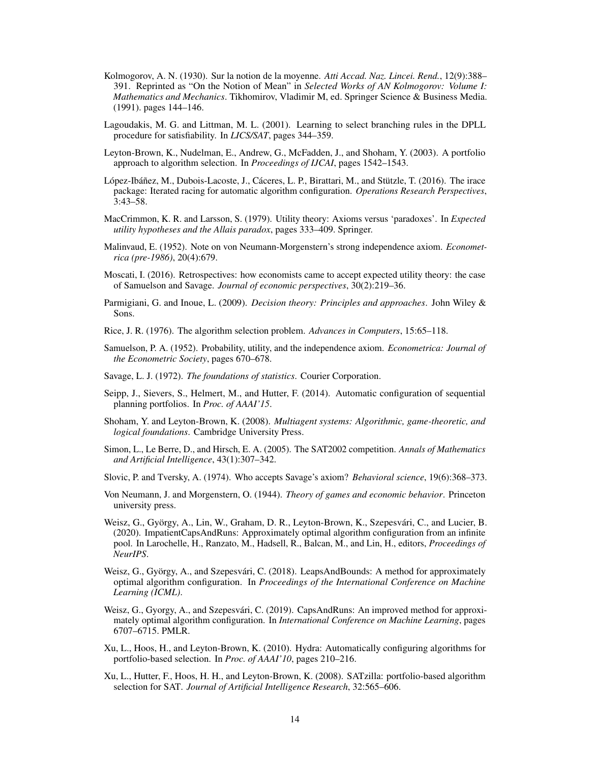- <span id="page-13-13"></span>Kolmogorov, A. N. (1930). Sur la notion de la moyenne. *Atti Accad. Naz. Lincei. Rend.*, 12(9):388– 391. Reprinted as "On the Notion of Mean" in *Selected Works of AN Kolmogorov: Volume I: Mathematics and Mechanics*. Tikhomirov, Vladimir M, ed. Springer Science & Business Media. (1991). pages 144–146.
- <span id="page-13-4"></span>Lagoudakis, M. G. and Littman, M. L. (2001). Learning to select branching rules in the DPLL procedure for satisfiability. In *LICS/SAT*, pages 344–359.
- <span id="page-13-1"></span>Leyton-Brown, K., Nudelman, E., Andrew, G., McFadden, J., and Shoham, Y. (2003). A portfolio approach to algorithm selection. In *Proceedings of IJCAI*, pages 1542–1543.
- <span id="page-13-3"></span>López-Ibáñez, M., Dubois-Lacoste, J., Cáceres, L. P., Birattari, M., and Stützle, T. (2016). The irace package: Iterated racing for automatic algorithm configuration. *Operations Research Perspectives*, 3:43–58.
- <span id="page-13-20"></span>MacCrimmon, K. R. and Larsson, S. (1979). Utility theory: Axioms versus 'paradoxes'. In *Expected utility hypotheses and the Allais paradox*, pages 333–409. Springer.
- <span id="page-13-12"></span>Malinvaud, E. (1952). Note on von Neumann-Morgenstern's strong independence axiom. *Econometrica (pre-1986)*, 20(4):679.
- <span id="page-13-14"></span>Moscati, I. (2016). Retrospectives: how economists came to accept expected utility theory: the case of Samuelson and Savage. *Journal of economic perspectives*, 30(2):219–36.
- <span id="page-13-18"></span>Parmigiani, G. and Inoue, L. (2009). *Decision theory: Principles and approaches*. John Wiley & Sons.
- <span id="page-13-0"></span>Rice, J. R. (1976). The algorithm selection problem. *Advances in Computers*, 15:65–118.
- <span id="page-13-15"></span>Samuelson, P. A. (1952). Probability, utility, and the independence axiom. *Econometrica: Journal of the Econometric Society*, pages 670–678.
- <span id="page-13-16"></span>Savage, L. J. (1972). *The foundations of statistics*. Courier Corporation.
- <span id="page-13-6"></span>Seipp, J., Sievers, S., Helmert, M., and Hutter, F. (2014). Automatic configuration of sequential planning portfolios. In *Proc. of AAAI'15*.
- <span id="page-13-17"></span>Shoham, Y. and Leyton-Brown, K. (2008). *Multiagent systems: Algorithmic, game-theoretic, and logical foundations*. Cambridge University Press.
- <span id="page-13-10"></span>Simon, L., Le Berre, D., and Hirsch, E. A. (2005). The SAT2002 competition. *Annals of Mathematics and Artificial Intelligence*, 43(1):307–342.
- <span id="page-13-19"></span>Slovic, P. and Tversky, A. (1974). Who accepts Savage's axiom? *Behavioral science*, 19(6):368–373.
- <span id="page-13-11"></span>Von Neumann, J. and Morgenstern, O. (1944). *Theory of games and economic behavior*. Princeton university press.
- <span id="page-13-9"></span>Weisz, G., György, A., Lin, W., Graham, D. R., Leyton-Brown, K., Szepesvári, C., and Lucier, B. (2020). ImpatientCapsAndRuns: Approximately optimal algorithm configuration from an infinite pool. In Larochelle, H., Ranzato, M., Hadsell, R., Balcan, M., and Lin, H., editors, *Proceedings of NeurIPS*.
- <span id="page-13-7"></span>Weisz, G., György, A., and Szepesvári, C. (2018). LeapsAndBounds: A method for approximately optimal algorithm configuration. In *Proceedings of the International Conference on Machine Learning (ICML)*.
- <span id="page-13-8"></span>Weisz, G., Gyorgy, A., and Szepesvári, C. (2019). CapsAndRuns: An improved method for approximately optimal algorithm configuration. In *International Conference on Machine Learning*, pages 6707–6715. PMLR.
- <span id="page-13-5"></span>Xu, L., Hoos, H., and Leyton-Brown, K. (2010). Hydra: Automatically configuring algorithms for portfolio-based selection. In *Proc. of AAAI'10*, pages 210–216.
- <span id="page-13-2"></span>Xu, L., Hutter, F., Hoos, H. H., and Leyton-Brown, K. (2008). SATzilla: portfolio-based algorithm selection for SAT. *Journal of Artificial Intelligence Research*, 32:565–606.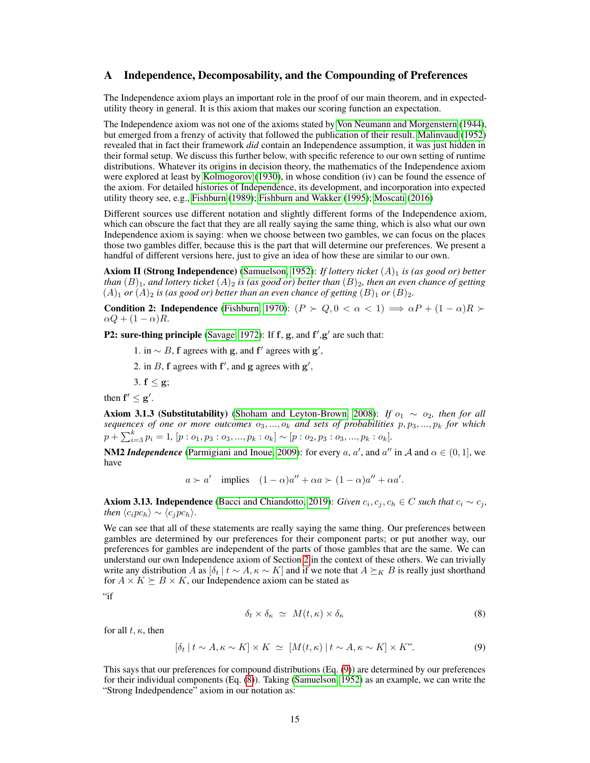## <span id="page-14-0"></span>A Independence, Decomposability, and the Compounding of Preferences

The Independence axiom plays an important role in the proof of our main theorem, and in expectedutility theory in general. It is this axiom that makes our scoring function an expectation.

The Independence axiom was not one of the axioms stated by [Von Neumann and Morgenstern](#page-13-11) [\(1944\)](#page-13-11), but emerged from a frenzy of activity that followed the publication of their result. [Malinvaud](#page-13-12) [\(1952\)](#page-13-12) revealed that in fact their framework *did* contain an Independence assumption, it was just hidden in their formal setup. We discuss this further below, with specific reference to our own setting of runtime distributions. Whatever its origins in decision theory, the mathematics of the Independence axiom were explored at least by [Kolmogorov](#page-13-13) [\(1930\)](#page-13-13), in whose condition (iv) can be found the essence of the axiom. For detailed histories of Independence, its development, and incorporation into expected utility theory see, e.g., [Fishburn](#page-12-15) [\(1989\)](#page-12-15); [Fishburn and Wakker](#page-12-16) [\(1995\)](#page-12-16); [Moscati](#page-13-14) [\(2016\)](#page-13-14)

Different sources use different notation and slightly different forms of the Independence axiom, which can obscure the fact that they are all really saying the same thing, which is also what our own Independence axiom is saying: when we choose between two gambles, we can focus on the places those two gambles differ, because this is the part that will determine our preferences. We present a handful of different versions here, just to give an idea of how these are similar to our own.

Axiom II (Strong Independence) [\(Samuelson, 1952\)](#page-13-15): *If lottery ticket* (A)<sub>1</sub> *is (as good or) better than*  $(B)_1$ *, and lottery ticket*  $(A)_2$  *is (as good or) better than*  $(B)_2$ *, then an even chance of getting*  $(A)_1$  *or*  $(A)_2$  *is (as good or) better than an even chance of getting*  $(B)_1$  *or*  $(B)_2$ *.* 

**Condition 2: Independence** [\(Fishburn, 1970\)](#page-12-17):  $(P \succ Q, 0 < \alpha < 1) \Longrightarrow \alpha P + (1 - \alpha)R \succ$  $\alpha Q + (1 - \alpha)R.$ 

P2: sure-thing principle [\(Savage, 1972\)](#page-13-16): If  $f$ ,  $g$ , and  $f'$ , $g'$  are such that:

1. in  $\sim$  B, f agrees with g, and f' agrees with g',

2. in B, f agrees with  $f'$ , and g agrees with  $g'$ ,

3.  $f < g$ ;

then  $f' \leq g'$ .

Axiom 3.1.3 (Substitutability) [\(Shoham and Leyton-Brown, 2008\)](#page-13-17): *If*  $o_1 \sim o_2$ , then for all sequences of one or more outcomes  $o_3, ..., o_k$  and sets of probabilities  $p, p_3, ..., p_k$  for which  $p + \sum_{i=3}^{k} p_i = 1$ ,  $[p : o_1, p_3 : o_3, ..., p_k : o_k] \sim [p : o_2, p_3 : o_3, ..., p_k : o_k]$ .

**NM2** *Independence* [\(Parmigiani and Inoue, 2009\)](#page-13-18): for every  $a, a'$ , and  $a''$  in A and  $\alpha \in (0, 1]$ , we have

$$
a \succ a'
$$
 implies  $(1 - \alpha)a'' + \alpha a \succ (1 - \alpha)a'' + \alpha a'.$ 

Axiom 3.13. Independence [\(Bacci and Chiandotto, 2019\)](#page-11-2): *Given*  $c_i$ ,  $c_j$ ,  $c_h \in C$  *such that*  $c_i \sim c_j$ , *then*  $\langle c_i p c_h \rangle \sim \langle c_j p c_h \rangle$ .

We can see that all of these statements are really saying the same thing. Our preferences between gambles are determined by our preferences for their component parts; or put another way, our preferences for gambles are independent of the parts of those gambles that are the same. We can understand our own Independence axiom of Section [2](#page-2-1) in the context of these others. We can trivially write any distribution A as  $[\delta_t | t \sim A, \kappa \sim K]$  and if we note that  $A \succeq_K B$  is really just shorthand for  $A \times K \succeq B \times K$ , our Independence axiom can be stated as

 $"$ if

<span id="page-14-2"></span><span id="page-14-1"></span>
$$
\delta_t \times \delta_\kappa \simeq M(t,\kappa) \times \delta_\kappa \tag{8}
$$

for all  $t, \kappa$ , then

$$
[\delta_t | t \sim A, \kappa \sim K] \times K \simeq [M(t, \kappa) | t \sim A, \kappa \sim K] \times K^{\prime}. \tag{9}
$$

This says that our preferences for compound distributions (Eq. [\(9\)](#page-14-1)) are determined by our preferences for their individual components (Eq. [\(8\)](#page-14-2)). Taking [\(Samuelson, 1952\)](#page-13-15) as an example, we can write the "Strong Indedpendence" axiom in our notation as: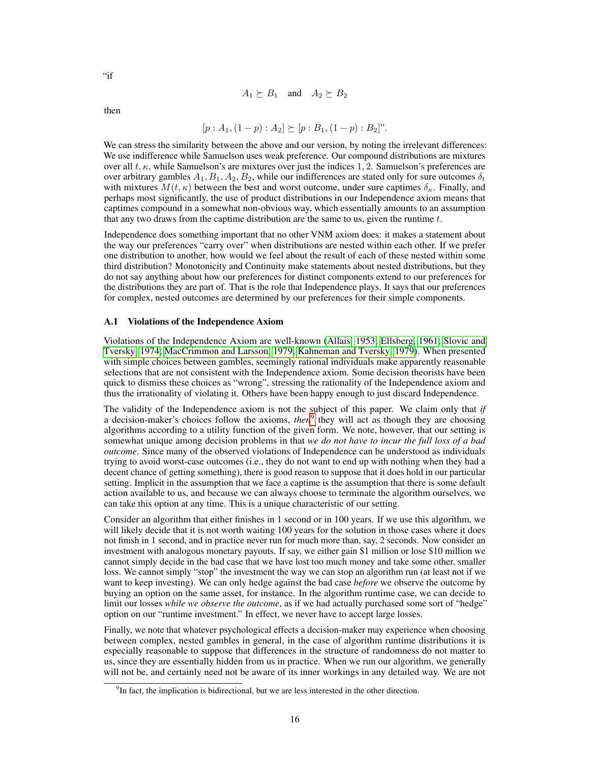$$
A_1 \succeq B_1 \quad \text{and} \quad A_2 \succeq B_2
$$

then

"if"

$$
[p:A_1,(1-p):A_2]\succeq [p:B_1,(1-p):B_2]''.
$$

We can stress the similarity between the above and our version, by noting the irrelevant differences: We use indifference while Samuelson uses weak preference. Our compound distributions are mixtures over all  $t, \kappa$ , while Samuelson's are mixtures over just the indices 1, 2. Samuelson's preferences are over arbitrary gambles  $A_1, B_1, A_2, B_2$ , while our indifferences are stated only for sure outcomes  $\delta_t$ with mixtures  $M(t, \kappa)$  between the best and worst outcome, under sure captimes  $\delta_{\kappa}$ . Finally, and perhaps most significantly, the use of product distributions in our Independence axiom means that captimes compound in a somewhat non-obvious way, which essentially amounts to an assumption that any two draws from the captime distribution are the same to us, given the runtime  $t$ .

Independence does something important that no other VNM axiom does: it makes a statement about the way our preferences "carry over" when distributions are nested within each other. If we prefer one distribution to another, how would we feel about the result of each of these nested within some third distribution? Monotonicity and Continuity make statements about nested distributions, but they do not say anything about how our preferences for distinct components extend to our preferences for the distributions they are part of. That is the role that Independence plays. It says that our preferences for complex, nested outcomes are determined by our preferences for their simple components.

#### A.1 Violations of the Independence Axiom

Violations of the Independence Axiom are well-known [\(Allais, 1953;](#page-11-3) [Ellsberg, 1961;](#page-12-18) [Slovic and](#page-13-19) [Tversky, 1974;](#page-13-19) [MacCrimmon and Larsson, 1979;](#page-13-20) [Kahneman and Tversky, 1979\)](#page-12-19). When presented with simple choices between gambles, seemingly rational individuals make apparently reasonable selections that are not consistent with the Independence axiom. Some decision theorists have been quick to dismiss these choices as "wrong", stressing the rationality of the Independence axiom and thus the irrationality of violating it. Others have been happy enough to just discard Independence.

The validity of the Independence axiom is not the subject of this paper. We claim only that *if* a decision-maker's choices follow the axioms, *then*<sup>[9](#page-15-0)</sup> they will act as though they are choosing algorithms according to a utility function of the given form. We note, however, that our setting is somewhat unique among decision problems in that *we do not have to incur the full loss of a bad outcome*. Since many of the observed violations of Independence can be understood as individuals trying to avoid worst-case outcomes (i.e., they do not want to end up with nothing when they had a decent chance of getting something), there is good reason to suppose that it does hold in our particular setting. Implicit in the assumption that we face a captime is the assumption that there is some default action available to us, and because we can always choose to terminate the algorithm ourselves, we can take this option at any time. This is a unique characteristic of our setting.

Consider an algorithm that either finishes in 1 second or in 100 years. If we use this algorithm, we will likely decide that it is not worth waiting 100 years for the solution in those cases where it does not finish in 1 second, and in practice never run for much more than, say, 2 seconds. Now consider an investment with analogous monetary payouts. If say, we either gain \$1 million or lose \$10 million we cannot simply decide in the bad case that we have lost too much money and take some other, smaller loss. We cannot simply "stop" the investment the way we can stop an algorithm run (at least not if we want to keep investing). We can only hedge against the bad case *before* we observe the outcome by buying an option on the same asset, for instance. In the algorithm runtime case, we can decide to limit our losses *while we observe the outcome*, as if we had actually purchased some sort of "hedge" option on our "runtime investment." In effect, we never have to accept large losses.

Finally, we note that whatever psychological effects a decision-maker may experience when choosing between complex, nested gambles in general, in the case of algorithm runtime distributions it is especially reasonable to suppose that differences in the structure of randomness do not matter to us, since they are essentially hidden from us in practice. When we run our algorithm, we generally will not be, and certainly need not be aware of its inner workings in any detailed way. We are not

<span id="page-15-0"></span> $<sup>9</sup>$ In fact, the implication is bidirectional, but we are less interested in the other direction.</sup>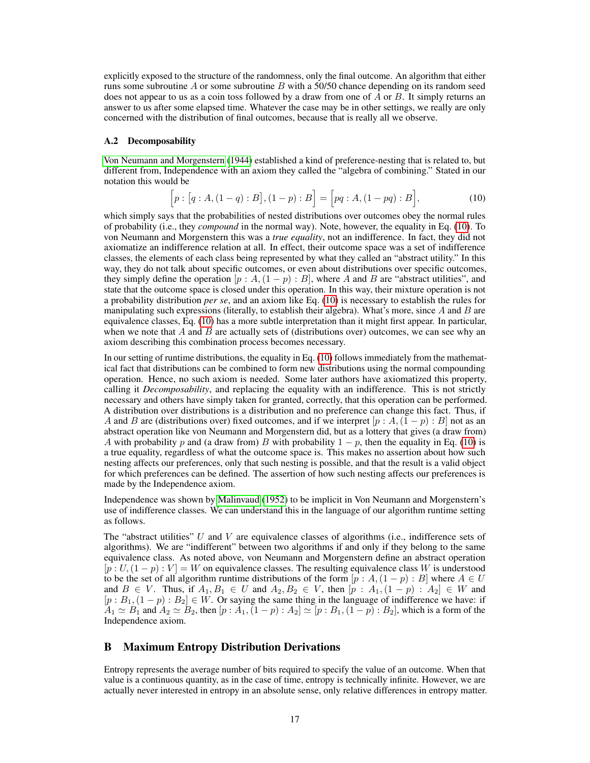explicitly exposed to the structure of the randomness, only the final outcome. An algorithm that either runs some subroutine A or some subroutine B with a 50/50 chance depending on its random seed does not appear to us as a coin toss followed by a draw from one of A or B. It simply returns an answer to us after some elapsed time. Whatever the case may be in other settings, we really are only concerned with the distribution of final outcomes, because that is really all we observe.

#### A.2 Decomposability

[Von Neumann and Morgenstern](#page-13-11) [\(1944\)](#page-13-11) established a kind of preference-nesting that is related to, but different from, Independence with an axiom they called the "algebra of combining." Stated in our notation this would be

<span id="page-16-1"></span>
$$
[p : [q : A, (1 - q) : B], (1 - p) : B] = [pq : A, (1 - pq) : B],
$$
\n(10)

which simply says that the probabilities of nested distributions over outcomes obey the normal rules of probability (i.e., they *compound* in the normal way). Note, however, the equality in Eq. [\(10\)](#page-16-1). To von Neumann and Morgenstern this was a *true equality*, not an indifference. In fact, they did not axiomatize an indifference relation at all. In effect, their outcome space was a set of indifference classes, the elements of each class being represented by what they called an "abstract utility." In this way, they do not talk about specific outcomes, or even about distributions over specific outcomes, they simply define the operation  $[p : A, (1 - p) : B]$ , where A and B are "abstract utilities", and state that the outcome space is closed under this operation. In this way, their mixture operation is not a probability distribution *per se*, and an axiom like Eq. [\(10\)](#page-16-1) is necessary to establish the rules for manipulating such expressions (literally, to establish their algebra). What's more, since  $A$  and  $B$  are equivalence classes, Eq. [\(10\)](#page-16-1) has a more subtle interpretation than it might first appear. In particular, when we note that  $A$  and  $B$  are actually sets of (distributions over) outcomes, we can see why an axiom describing this combination process becomes necessary.

In our setting of runtime distributions, the equality in Eq. [\(10\)](#page-16-1) follows immediately from the mathematical fact that distributions can be combined to form new distributions using the normal compounding operation. Hence, no such axiom is needed. Some later authors have axiomatized this property, calling it *Decomposability*, and replacing the equality with an indifference. This is not strictly necessary and others have simply taken for granted, correctly, that this operation can be performed. A distribution over distributions is a distribution and no preference can change this fact. Thus, if A and B are (distributions over) fixed outcomes, and if we interpret  $[p : A,(1-p) : B]$  not as an abstract operation like von Neumann and Morgenstern did, but as a lottery that gives (a draw from) A with probability p and (a draw from) B with probability  $1 - p$ , then the equality in Eq. [\(10\)](#page-16-1) is a true equality, regardless of what the outcome space is. This makes no assertion about how such nesting affects our preferences, only that such nesting is possible, and that the result is a valid object for which preferences can be defined. The assertion of how such nesting affects our preferences is made by the Independence axiom.

Independence was shown by [Malinvaud](#page-13-12) [\(1952\)](#page-13-12) to be implicit in Von Neumann and Morgenstern's use of indifference classes. We can understand this in the language of our algorithm runtime setting as follows.

The "abstract utilities"  $U$  and  $V$  are equivalence classes of algorithms (i.e., indifference sets of algorithms). We are "indifferent" between two algorithms if and only if they belong to the same equivalence class. As noted above, von Neumann and Morgenstern define an abstract operation  $[p: U, (1-p): V] = W$  on equivalence classes. The resulting equivalence class W is understood to be the set of all algorithm runtime distributions of the form  $[p : A,(1-p) : B]$  where  $A \in U$ and  $B \in V$ . Thus, if  $A_1, B_1 \in U$  and  $A_2, B_2 \in V$ , then  $[p : A_1, (1 - p) : A_2] \in W$  and  $[p : B_1, (1-p) : B_2] \in W$ . Or saying the same thing in the language of indifference we have: if  $A_1 \simeq B_1$  and  $A_2 \simeq B_2$ , then  $[p : A_1, (1-p) : A_2] \simeq [p : B_1, (1-p) : B_2]$ , which is a form of the Independence axiom.

# <span id="page-16-0"></span>B Maximum Entropy Distribution Derivations

Entropy represents the average number of bits required to specify the value of an outcome. When that value is a continuous quantity, as in the case of time, entropy is technically infinite. However, we are actually never interested in entropy in an absolute sense, only relative differences in entropy matter.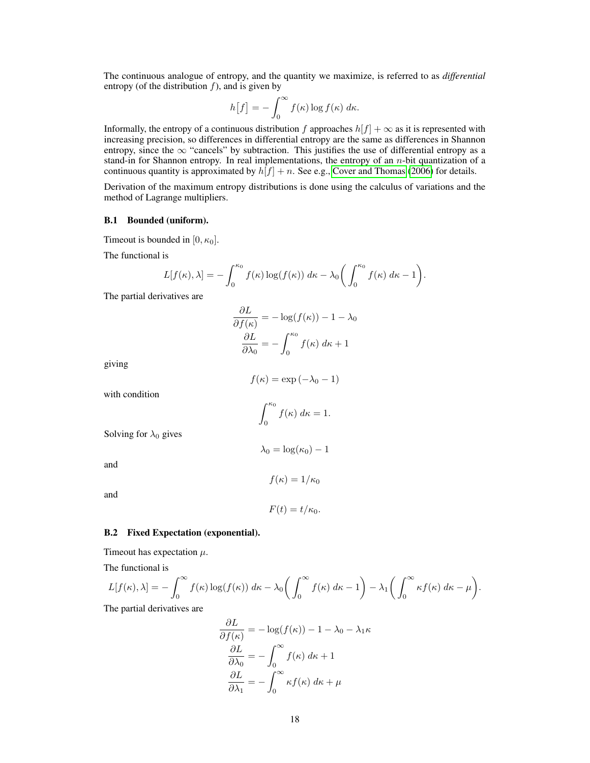The continuous analogue of entropy, and the quantity we maximize, is referred to as *differential* entropy (of the distribution  $f$ ), and is given by

$$
h[f] = -\int_0^\infty f(\kappa) \log f(\kappa) \, d\kappa.
$$

Informally, the entropy of a continuous distribution f approaches  $h[f] + \infty$  as it is represented with increasing precision, so differences in differential entropy are the same as differences in Shannon entropy, since the  $\infty$  "cancels" by subtraction. This justifies the use of differential entropy as a stand-in for Shannon entropy. In real implementations, the entropy of an  $n$ -bit quantization of a continuous quantity is approximated by  $h[f] + n$ . See e.g., [Cover and Thomas](#page-12-20) [\(2006\)](#page-12-20) for details.

Derivation of the maximum entropy distributions is done using the calculus of variations and the method of Lagrange multipliers.

### B.1 Bounded (uniform).

Timeout is bounded in  $[0, \kappa_0]$ .

The functional is

$$
L[f(\kappa),\lambda] = -\int_0^{\kappa_0} f(\kappa) \log(f(\kappa)) d\kappa - \lambda_0 \bigg(\int_0^{\kappa_0} f(\kappa) d\kappa - 1\bigg).
$$

The partial derivatives are

$$
\frac{\partial L}{\partial f(\kappa)} = -\log(f(\kappa)) - 1 - \lambda_0
$$

$$
\frac{\partial L}{\partial \lambda_0} = -\int_0^{\kappa_0} f(\kappa) \, d\kappa + 1
$$

giving

$$
f(\kappa) = \exp(-\lambda_0 - 1)
$$

with condition

$$
\int_0^{\kappa_0} f(\kappa) \, d\kappa = 1.
$$

 $\lambda_0 = \log(\kappa_0) - 1$ 

Solving for  $\lambda_0$  gives

and

 $f(\kappa) = 1/\kappa_0$ 

and

$$
F(t) = t/\kappa_0.
$$

#### B.2 Fixed Expectation (exponential).

Timeout has expectation  $\mu$ .

The functional is

$$
L[f(\kappa),\lambda] = -\int_0^\infty f(\kappa) \log(f(\kappa)) d\kappa - \lambda_0 \bigg(\int_0^\infty f(\kappa) d\kappa - 1\bigg) - \lambda_1 \bigg(\int_0^\infty \kappa f(\kappa) d\kappa - \mu\bigg).
$$
  
The partial derivatives are

The partial derivatives are

$$
\frac{\partial L}{\partial f(\kappa)} = -\log(f(\kappa)) - 1 - \lambda_0 - \lambda_1 \kappa
$$

$$
\frac{\partial L}{\partial \lambda_0} = -\int_0^\infty f(\kappa) \, d\kappa + 1
$$

$$
\frac{\partial L}{\partial \lambda_1} = -\int_0^\infty \kappa f(\kappa) \, d\kappa + \mu
$$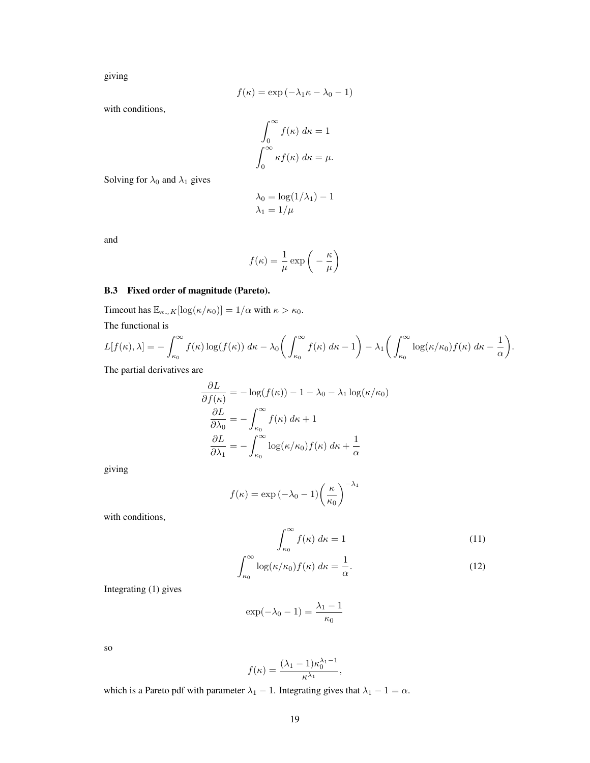giving

$$
f(\kappa) = \exp(-\lambda_1 \kappa - \lambda_0 - 1)
$$

with conditions,

$$
\int_0^\infty f(\kappa) \, d\kappa = 1
$$

$$
\int_0^\infty \kappa f(\kappa) \, d\kappa = \mu.
$$

Solving for  $\lambda_0$  and  $\lambda_1$  gives

$$
\lambda_0 = \log(1/\lambda_1) - 1
$$

$$
\lambda_1 = 1/\mu
$$

and

$$
f(\kappa) = \frac{1}{\mu} \exp\left(-\frac{\kappa}{\mu}\right)
$$

# B.3 Fixed order of magnitude (Pareto).

Timeout has  $\mathbb{E}_{\kappa \sim K}[\log(\kappa/\kappa_0)] = 1/\alpha$  with  $\kappa > \kappa_0$ .

The functional is

$$
L[f(\kappa),\lambda] = -\int_{\kappa_0}^{\infty} f(\kappa) \log(f(\kappa)) d\kappa - \lambda_0 \bigg(\int_{\kappa_0}^{\infty} f(\kappa) d\kappa - 1\bigg) - \lambda_1 \bigg(\int_{\kappa_0}^{\infty} \log(\kappa/\kappa_0) f(\kappa) d\kappa - \frac{1}{\alpha}\bigg).
$$

The partial derivatives are

$$
\frac{\partial L}{\partial f(\kappa)} = -\log(f(\kappa)) - 1 - \lambda_0 - \lambda_1 \log(\kappa/\kappa_0)
$$

$$
\frac{\partial L}{\partial \lambda_0} = -\int_{\kappa_0}^{\infty} f(\kappa) \, d\kappa + 1
$$

$$
\frac{\partial L}{\partial \lambda_1} = -\int_{\kappa_0}^{\infty} \log(\kappa/\kappa_0) f(\kappa) \, d\kappa + \frac{1}{\alpha}
$$

giving

$$
f(\kappa) = \exp(-\lambda_0 - 1) \left(\frac{\kappa}{\kappa_0}\right)^{-\lambda_1}
$$

with conditions,

$$
\int_{\kappa_0}^{\infty} f(\kappa) d\kappa = 1
$$
\n(11)

$$
\int_{\kappa_0}^{\infty} \log(\kappa/\kappa_0) f(\kappa) \, d\kappa = \frac{1}{\alpha}.\tag{12}
$$

Integrating (1) gives

$$
\exp(-\lambda_0 - 1) = \frac{\lambda_1 - 1}{\kappa_0}
$$

so

$$
f(\kappa) = \frac{(\lambda_1 - 1)\kappa_0^{\lambda_1 - 1}}{\kappa^{\lambda_1}},
$$

which is a Pareto pdf with parameter  $\lambda_1 - 1$ . Integrating gives that  $\lambda_1 - 1 = \alpha$ .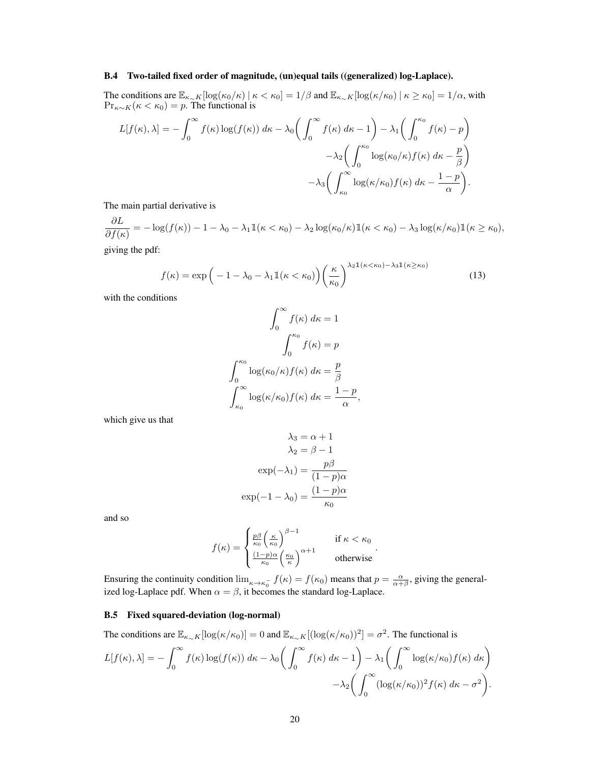#### B.4 Two-tailed fixed order of magnitude, (un)equal tails ((generalized) log-Laplace).

The conditions are  $\mathbb{E}_{\kappa \sim K}[\log(\kappa_0/\kappa) \mid \kappa < \kappa_0] = 1/\beta$  and  $\mathbb{E}_{\kappa \sim K}[\log(\kappa/\kappa_0) \mid \kappa \ge \kappa_0] = 1/\alpha$ , with  $Pr_{\kappa \sim K}(\kappa < \kappa_0) = p$ . The functional is  $r^{\infty}$  $\angle r^{\infty}$  $\Delta$  $\angle$   $\mathsf{r}^{\kappa_0}$  $\sim$   $\sim$   $\sim$ 

$$
L[f(\kappa), \lambda] = -\int_0^{\infty} f(\kappa) \log(f(\kappa)) d\kappa - \lambda_0 \left( \int_0^{\infty} f(\kappa) d\kappa - 1 \right) - \lambda_1 \left( \int_0^{\infty} f(\kappa) - p \right)
$$

$$
- \lambda_2 \left( \int_0^{\kappa_0} \log(\kappa_0/\kappa) f(\kappa) d\kappa - \frac{p}{\beta} \right)
$$

$$
- \lambda_3 \left( \int_{\kappa_0}^{\infty} \log(\kappa/\kappa_0) f(\kappa) d\kappa - \frac{1 - p}{\alpha} \right).
$$

The main partial derivative is

∂L  $\frac{\partial L}{\partial f(\kappa)} = -\log(f(\kappa)) - 1 - \lambda_0 - \lambda_1 1\!\!1(\kappa < \kappa_0) - \lambda_2 \log(\kappa_0/\kappa) 1\!\!1(\kappa < \kappa_0) - \lambda_3 \log(\kappa/\kappa_0) 1\!\!1(\kappa \geq \kappa_0),$ giving the pdf:

$$
f(\kappa) = \exp\left(-1 - \lambda_0 - \lambda_1 \mathbb{1}(\kappa < \kappa_0)\right) \left(\frac{\kappa}{\kappa_0}\right)^{\lambda_2 \mathbb{1}(\kappa < \kappa_0) - \lambda_3 \mathbb{1}(\kappa \ge \kappa_0)}\tag{13}
$$

with the conditions

$$
\int_0^\infty f(\kappa) \, d\kappa = 1
$$

$$
\int_0^{\kappa_0} f(\kappa) = p
$$

$$
\int_0^{\kappa_0} \log(\kappa_0/\kappa) f(\kappa) \, d\kappa = \frac{p}{\beta}
$$

$$
\int_{\kappa_0}^\infty \log(\kappa/\kappa_0) f(\kappa) \, d\kappa = \frac{1-p}{\alpha},
$$

which give us that

$$
\lambda_3 = \alpha + 1
$$

$$
\lambda_2 = \beta - 1
$$

$$
\exp(-\lambda_1) = \frac{p\beta}{(1 - p)\alpha}
$$

$$
\exp(-1 - \lambda_0) = \frac{(1 - p)\alpha}{\kappa_0}
$$

and so

$$
f(\kappa) = \begin{cases} \frac{p\beta}{\kappa_0} \left(\frac{\kappa}{\kappa_0}\right)^{\beta - 1} & \text{if } \kappa < \kappa_0 \\ \frac{(1 - p)\alpha}{\kappa_0} \left(\frac{\kappa_0}{\kappa}\right)^{\alpha + 1} & \text{otherwise} \end{cases}.
$$

Ensuring the continuity condition  $\lim_{\kappa \to \kappa_0^-} f(\kappa) = f(\kappa_0)$  means that  $p = \frac{\alpha}{\alpha + \beta}$ , giving the generalized log-Laplace pdf. When  $\alpha = \beta$ , it becomes the standard log-Laplace.

## B.5 Fixed squared-deviation (log-normal)

The conditions are  $\mathbb{E}_{\kappa \sim K}[\log(\kappa/\kappa_0)] = 0$  and  $\mathbb{E}_{\kappa \sim K}[(\log(\kappa/\kappa_0))^2] = \sigma^2$ . The functional is

$$
L[f(\kappa),\lambda] = -\int_0^\infty f(\kappa)\log(f(\kappa)) d\kappa - \lambda_0 \bigg(\int_0^\infty f(\kappa) d\kappa - 1\bigg) - \lambda_1 \bigg(\int_0^\infty \log(\kappa/\kappa_0) f(\kappa) d\kappa\bigg) - \lambda_2 \bigg(\int_0^\infty (\log(\kappa/\kappa_0))^2 f(\kappa) d\kappa - \sigma^2\bigg).
$$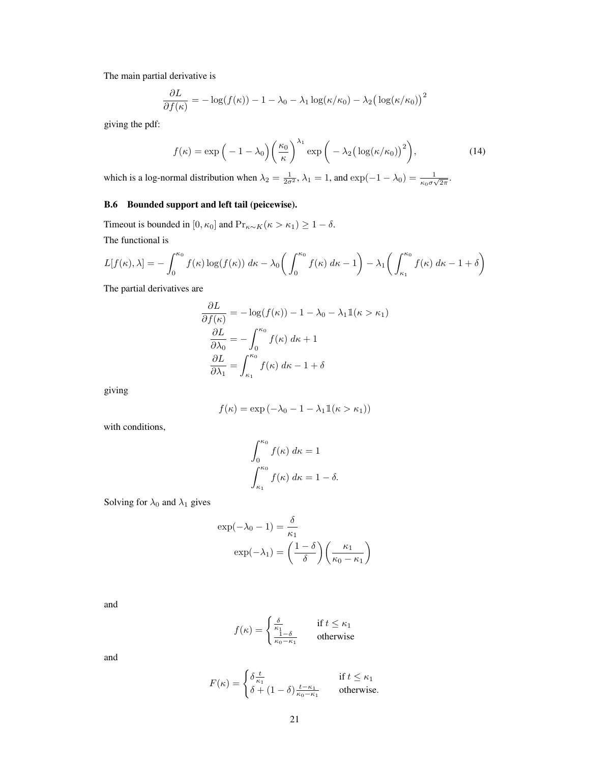The main partial derivative is

$$
\frac{\partial L}{\partial f(\kappa)} = -\log(f(\kappa)) - 1 - \lambda_0 - \lambda_1 \log(\kappa/\kappa_0) - \lambda_2 \big(\log(\kappa/\kappa_0)\big)^2
$$

giving the pdf:

$$
f(\kappa) = \exp\left(-1 - \lambda_0\right) \left(\frac{\kappa_0}{\kappa}\right)^{\lambda_1} \exp\left(-\lambda_2 \left(\log(\kappa/\kappa_0)\right)^2\right),\tag{14}
$$

which is a log-normal distribution when  $\lambda_2 = \frac{1}{2\sigma^2}$ ,  $\lambda_1 = 1$ , and  $\exp(-1 - \lambda_0) = \frac{1}{\kappa_0 \sigma \sqrt{2\pi}}$ .

# B.6 Bounded support and left tail (peicewise).

Timeout is bounded in [0,  $\kappa_0$ ] and  $Pr_{\kappa \sim K}(\kappa > \kappa_1) \geq 1 - \delta$ . The functional is

$$
L[f(\kappa),\lambda] = -\int_0^{\kappa_0} f(\kappa) \log(f(\kappa)) d\kappa - \lambda_0 \left( \int_0^{\kappa_0} f(\kappa) d\kappa - 1 \right) - \lambda_1 \left( \int_{\kappa_1}^{\kappa_0} f(\kappa) d\kappa - 1 + \delta \right)
$$

The partial derivatives are

$$
\frac{\partial L}{\partial f(\kappa)} = -\log(f(\kappa)) - 1 - \lambda_0 - \lambda_1 \mathbb{1}(\kappa > \kappa_1)
$$

$$
\frac{\partial L}{\partial \lambda_0} = -\int_0^{\kappa_0} f(\kappa) \, d\kappa + 1
$$

$$
\frac{\partial L}{\partial \lambda_1} = \int_{\kappa_1}^{\kappa_0} f(\kappa) \, d\kappa - 1 + \delta
$$

giving

$$
f(\kappa) = \exp(-\lambda_0 - 1 - \lambda_1 \mathbb{1}(\kappa > \kappa_1))
$$

with conditions,

$$
\int_0^{\kappa_0} f(\kappa) d\kappa = 1
$$

$$
\int_{\kappa_1}^{\kappa_0} f(\kappa) d\kappa = 1 - \delta.
$$

Solving for  $\lambda_0$  and  $\lambda_1$  gives

$$
\exp(-\lambda_0 - 1) = \frac{\delta}{\kappa_1}
$$

$$
\exp(-\lambda_1) = \left(\frac{1 - \delta}{\delta}\right) \left(\frac{\kappa_1}{\kappa_0 - \kappa_1}\right)
$$

and

$$
f(\kappa) = \begin{cases} \frac{\delta}{\kappa_1} & \text{if } t \le \kappa_1 \\ \frac{1-\delta}{\kappa_0 - \kappa_1} & \text{otherwise} \end{cases}
$$

and

$$
F(\kappa) = \begin{cases} \delta \frac{t}{\kappa_1} & \text{if } t \le \kappa_1 \\ \delta + (1 - \delta) \frac{t - \kappa_1}{\kappa_0 - \kappa_1} & \text{otherwise.} \end{cases}
$$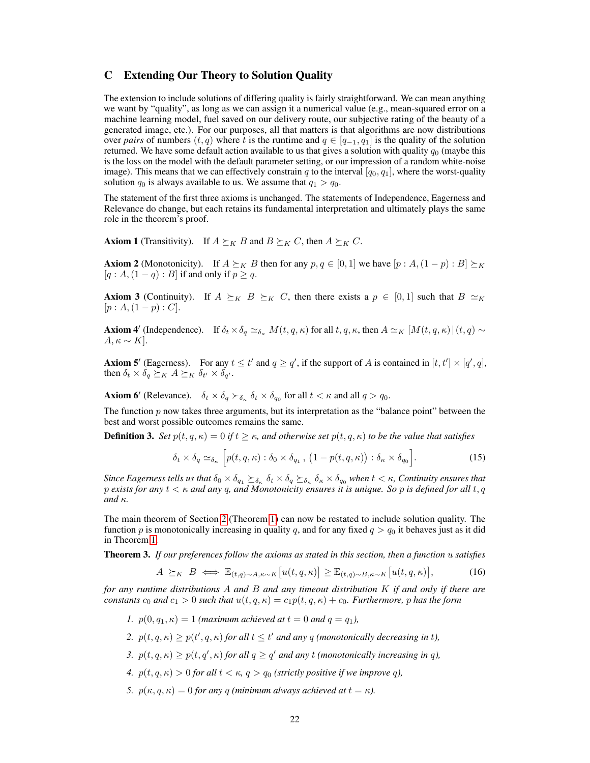# <span id="page-21-0"></span>C Extending Our Theory to Solution Quality

The extension to include solutions of differing quality is fairly straightforward. We can mean anything we want by "quality", as long as we can assign it a numerical value (e.g., mean-squared error on a machine learning model, fuel saved on our delivery route, our subjective rating of the beauty of a generated image, etc.). For our purposes, all that matters is that algorithms are now distributions over *pairs* of numbers  $(t, q)$  where t is the runtime and  $q \in [q_{-1}, q_1]$  is the quality of the solution returned. We have some default action available to us that gives a solution with quality  $q_0$  (maybe this is the loss on the model with the default parameter setting, or our impression of a random white-noise image). This means that we can effectively constrain q to the interval  $[q_0, q_1]$ , where the worst-quality solution  $q_0$  is always available to us. We assume that  $q_1 > q_0$ .

The statement of the first three axioms is unchanged. The statements of Independence, Eagerness and Relevance do change, but each retains its fundamental interpretation and ultimately plays the same role in the theorem's proof.

**Axiom 1** (Transitivity). If  $A \succeq_K B$  and  $B \succeq_K C$ , then  $A \succeq_K C$ .

**Axiom 2** (Monotonicity). If  $A \succeq_K B$  then for any  $p, q \in [0, 1]$  we have  $[p : A, (1 - p) : B] \succeq_K B$  $[q: A,(1-q):B]$  if and only if  $p \geq q$ .

**Axiom 3** (Continuity). If  $A \succeq_K B \succeq_K C$ , then there exists a  $p \in [0,1]$  such that  $B \simeq_K C$  $[p : A,(1-p) : C].$ 

**Axiom 4'** (Independence). If  $\delta_t \times \delta_q \simeq_{\delta_{\kappa}} M(t, q, \kappa)$  for all  $t, q, \kappa$ , then  $A \simeq_K [M(t, q, \kappa)](t, q) \sim$  $A, \kappa \sim K$ .

**Axiom 5'** (Eagerness). For any  $t \le t'$  and  $q \ge q'$ , if the support of A is contained in  $[t, t'] \times [q', q]$ , then  $\delta_t \times \delta_q \succeq_K A \succeq_K \delta_{t'} \times \delta_{q'}$ .

**Axiom 6'** (Relevance).  $\delta_t \times \delta_q \succ_{\delta_{\kappa}} \delta_t \times \delta_{q_0}$  for all  $t < \kappa$  and all  $q > q_0$ .

The function  $p$  now takes three arguments, but its interpretation as the "balance point" between the best and worst possible outcomes remains the same.

<span id="page-21-1"></span>**Definition 3.** *Set*  $p(t, q, \kappa) = 0$  *if*  $t \geq \kappa$ *, and otherwise set*  $p(t, q, \kappa)$  *to be the value that satisfies* 

<span id="page-21-2"></span>
$$
\delta_t \times \delta_q \simeq_{\delta_\kappa} \left[ p(t, q, \kappa) : \delta_0 \times \delta_{q_1}, \left( 1 - p(t, q, \kappa) \right) : \delta_\kappa \times \delta_{q_0} \right]. \tag{15}
$$

*Since Eagerness tells us that*  $\delta_0 \times \delta_{q_1} \succeq_{\delta_\kappa} \delta_t \times \delta_q \succeq_{\delta_\kappa} \delta_\kappa \times \delta_{q_0}$  when  $t < \kappa$ , Continuity ensures that p *exists for any* t < κ *and any* q*, and Monotonicity ensures it is unique. So* p *is defined for all* t, q *and* κ*.*

The main theorem of Section [2](#page-2-1) (Theorem [1\)](#page-4-4) can now be restated to include solution quality. The function p is monotonically increasing in quality q, and for any fixed  $q > q_0$  it behaves just as it did in Theorem [1.](#page-4-4)

Theorem 3. *If our preferences follow the axioms as stated in this section, then a function* u *satisfies*

<span id="page-21-3"></span>
$$
A \succeq_K B \iff \mathbb{E}_{(t,q)\sim A,\kappa\sim K}[u(t,q,\kappa)] \geq \mathbb{E}_{(t,q)\sim B,\kappa\sim K}[u(t,q,\kappa)],\tag{16}
$$

*for any runtime distributions* A *and* B *and any timeout distribution* K *if and only if there are constants*  $c_0$  *and*  $c_1 > 0$  *such that*  $u(t, q, \kappa) = c_1 p(t, q, \kappa) + c_0$ *. Furthermore,* p has the form

- *1.*  $p(0, q_1, \kappa) = 1$  *(maximum achieved at*  $t = 0$  *and*  $q = q_1$ *),*
- 2.  $p(t, q, \kappa) \geq p(t', q, \kappa)$  for all  $t \leq t'$  and any q *(monotonically decreasing in t)*,
- *3.*  $p(t, q, \kappa) \geq p(t, q', \kappa)$  for all  $q \geq q'$  and any t (monotonically increasing in q),
- *4.*  $p(t, q, \kappa) > 0$  *for all*  $t < \kappa$ ,  $q > q_0$  *(strictly positive if we improve q)*,
- *5.*  $p(\kappa, q, \kappa) = 0$  *for any q (minimum always achieved at*  $t = \kappa$ ).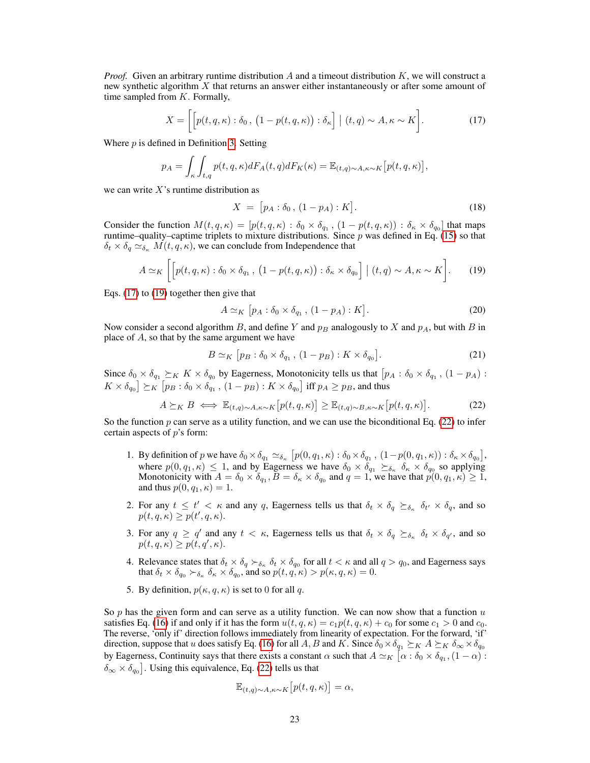*Proof.* Given an arbitrary runtime distribution A and a timeout distribution K, we will construct a new synthetic algorithm  $X$  that returns an answer either instantaneously or after some amount of time sampled from  $K$ . Formally,

$$
X = \left[ \left[ p(t, q, \kappa) : \delta_0, \left( 1 - p(t, q, \kappa) \right) : \delta_\kappa \right] \mid (t, q) \sim A, \kappa \sim K \right]. \tag{17}
$$

Where  $p$  is defined in Definition [3.](#page-21-1) Setting

$$
p_A = \int_{\kappa} \int_{t,q} p(t,q,\kappa) dF_A(t,q) dF_K(\kappa) = \mathbb{E}_{(t,q)\sim A, \kappa \sim K} [p(t,q,\kappa)],
$$

we can write  $X$ 's runtime distribution as

<span id="page-22-1"></span><span id="page-22-0"></span>
$$
X = [p_A : \delta_0, (1 - p_A) : K].
$$
 (18)

Consider the function  $M(t, q, \kappa) = [p(t, q, \kappa) : \delta_0 \times \delta_{q_1}, (1 - p(t, q, \kappa)) : \delta_{\kappa} \times \delta_{q_0}]$  that maps runtime–quality–captime triplets to mixture distributions. Since  $p$  was defined in Eq. [\(15\)](#page-21-2) so that  $\delta_t \times \delta_q \simeq_{\delta_{\kappa}} M(t, q, \kappa)$ , we can conclude from Independence that

$$
A \simeq_K \left[ \left[ p(t, q, \kappa) : \delta_0 \times \delta_{q_1}, \left( 1 - p(t, q, \kappa) \right) : \delta_\kappa \times \delta_{q_0} \right] \mid (t, q) \sim A, \kappa \sim K \right]. \tag{19}
$$

Eqs. [\(17\)](#page-22-0) to [\(19\)](#page-22-1) together then give that

$$
A \simeq_K [p_A : \delta_0 \times \delta_{q_1}, (1 - p_A) : K]. \tag{20}
$$

Now consider a second algorithm B, and define Y and  $p_B$  analogously to X and  $p_A$ , but with B in place of  $A$ , so that by the same argument we have

<span id="page-22-2"></span>
$$
B \simeq_K \left[ p_B : \delta_0 \times \delta_{q_1}, \left( 1 - p_B \right) : K \times \delta_{q_0} \right]. \tag{21}
$$

Since  $\delta_0 \times \delta_{q_1} \succeq_K K \times \delta_{q_0}$  by Eagerness, Monotonicity tells us that  $[p_A : \delta_0 \times \delta_{q_1}, (1 - p_A) :$  $K\times \delta_{q_0}$   $\succeq_K [p_B:\delta_0\times \delta_{q_1}\, ,\,(1-p_B):K\times \delta_{q_0}]$  iff  $p_A\geq p_B,$  and thus

$$
A \succeq_K B \iff \mathbb{E}_{(t,q)\sim A, \kappa \sim K} \left[ p(t,q,\kappa) \right] \geq \mathbb{E}_{(t,q)\sim B, \kappa \sim K} \left[ p(t,q,\kappa) \right]. \tag{22}
$$

So the function p can serve as a utility function, and we can use the biconditional Eq. [\(22\)](#page-22-2) to infer certain aspects of  $p$ 's form:

- 1. By definition of p we have  $\delta_0 \times \delta_{q_1} \simeq_{\delta_{\kappa}} [p(0, q_1, \kappa) : \delta_0 \times \delta_{q_1}, (1 p(0, q_1, \kappa)) : \delta_{\kappa} \times \delta_{q_0}],$ where  $p(0, q_1, \kappa) \leq 1$ , and by Eagerness we have  $\delta_0 \times \delta_{q_1} \succeq_{\delta_{\kappa}} \delta_{\kappa} \times \delta_{q_0}$  so applying Monotonicity with  $A = \delta_0 \times \delta_{q_1}, B = \delta_{\kappa} \times \delta_{q_0}$  and  $q = 1$ , we have that  $p(0, q_1, \kappa) \ge 1$ , and thus  $p(0, q_1, \kappa) = 1$ .
- 2. For any  $t \leq t' < \kappa$  and any q, Eagerness tells us that  $\delta_t \times \delta_q \succeq_{\delta_{\kappa}} \delta_{t'} \times \delta_q$ , and so  $p(t, q, \kappa) \geq p(t', q, \kappa).$
- 3. For any  $q \ge q'$  and any  $t < \kappa$ , Eagerness tells us that  $\delta_t \times \delta_q \succeq_{\delta_{\kappa}} \delta_t \times \delta_{q'}$ , and so  $p(t,q,\kappa) \geq p(t,q',\kappa).$
- 4. Relevance states that  $\delta_t \times \delta_q \succ_{\delta_{\kappa}} \delta_t \times \delta_{q_0}$  for all  $t < \kappa$  and all  $q > q_0$ , and Eagerness says that  $\delta_t \times \delta_{q_0} \succ_{\delta_{\kappa}} \delta_{\kappa} \times \delta_{q_0}$ , and so  $p(t, q, \kappa) > p(\kappa, q, \kappa) = 0$ .
- 5. By definition,  $p(\kappa, q, \kappa)$  is set to 0 for all q.

So p has the given form and can serve as a utility function. We can now show that a function  $u$ satisfies Eq. [\(16\)](#page-21-3) if and only if it has the form  $u(t, q, \kappa) = c_1 p(t, q, \kappa) + c_0$  for some  $c_1 > 0$  and  $c_0$ . The reverse, 'only if' direction follows immediately from linearity of expectation. For the forward, 'if' direction, suppose that u does satisfy Eq. [\(16\)](#page-21-3) for all A, B and K. Since  $\delta_0 \times \delta_{q_1} \succeq_K A \succeq_K \delta_\infty \times \delta_{q_0}$ by Eagerness, Continuity says that there exists a constant  $\alpha$  such that  $A \simeq_K [\alpha : \delta_0 \times \delta_{q_1}, (1-\alpha) :$  $\delta_{\infty} \times \delta_{q_0}$ . Using this equivalence, Eq. [\(22\)](#page-22-2) tells us that

$$
\mathbb{E}_{(t,q)\sim A,\kappa\sim K} \big[ p(t,q,\kappa) \big] = \alpha,
$$